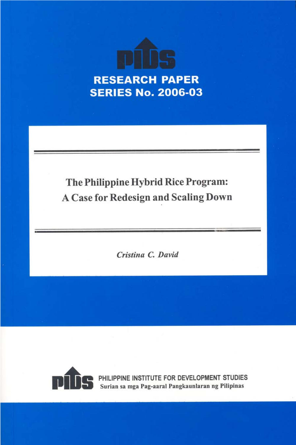

# The Philippine Hybrid Rice Program: **A Case for Redesign and Scaling Down**

Cristina C. David



PHILIPPINE INSTITUTE FOR DEVELOPMENT STUDIES<br>Surian sa mga Pag-aaral Pangkaunlaran ng Pilipinas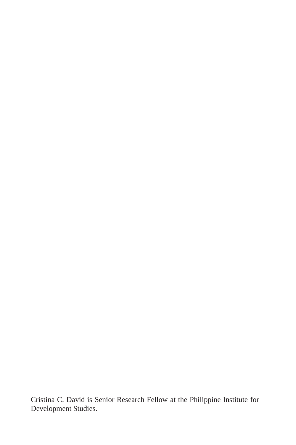Cristina C. David is Senior Research Fellow at the Philippine Institute for Development Studies.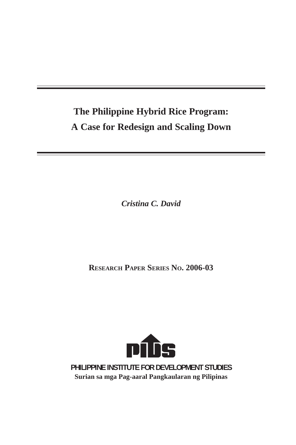# **The Philippine Hybrid Rice Program: A Case for Redesign and Scaling Down**

*Cristina C. David*

**RESEARCH PAPER SERIES NO. 2006-03**



**PHILIPPINE INSTITUTE FOR DEVELOPMENT STUDIES Surian sa mga Pag-aaral Pangkaularan ng Pilipinas**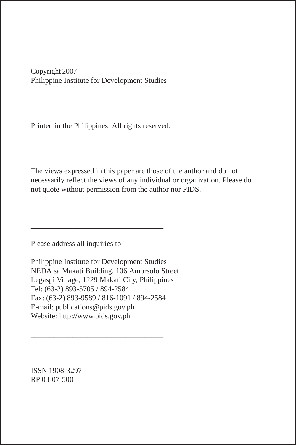Copyright 2007 Philippine Institute for Development Studies

Printed in the Philippines. All rights reserved.

The views expressed in this paper are those of the author and do not necessarily reflect the views of any individual or organization. Please do not quote without permission from the author nor PIDS.

Please address all inquiries to

Philippine Institute for Development Studies NEDA sa Makati Building, 106 Amorsolo Street Legaspi Village, 1229 Makati City, Philippines Tel: (63-2) 893-5705 / 894-2584 Fax: (63-2) 893-9589 / 816-1091 / 894-2584 E-mail: publications@pids.gov.ph Website: http://www.pids.gov.ph

\_\_\_\_\_\_\_\_\_\_\_\_\_\_\_\_\_\_\_\_\_\_\_\_\_\_\_\_\_\_\_\_\_\_\_

\_\_\_\_\_\_\_\_\_\_\_\_\_\_\_\_\_\_\_\_\_\_\_\_\_\_\_\_\_\_\_\_\_\_\_

ISSN 1908-3297 RP 03-07-500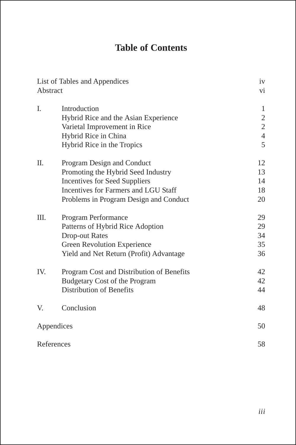# **Table of Contents**

| List of Tables and Appendices<br>Abstract | iv<br>vi                                  |                |
|-------------------------------------------|-------------------------------------------|----------------|
| I.                                        | Introduction                              | 1              |
|                                           | Hybrid Rice and the Asian Experience      | $\overline{c}$ |
|                                           | Varietal Improvement in Rice              | $\overline{c}$ |
|                                           | Hybrid Rice in China                      | $\overline{4}$ |
|                                           | Hybrid Rice in the Tropics                | 5              |
| Π.                                        | Program Design and Conduct                | 12             |
|                                           | Promoting the Hybrid Seed Industry        | 13             |
|                                           | <b>Incentives for Seed Suppliers</b>      | 14             |
|                                           | Incentives for Farmers and LGU Staff      | 18             |
|                                           | Problems in Program Design and Conduct    | 20             |
| Ш.                                        | Program Performance                       | 29             |
|                                           | Patterns of Hybrid Rice Adoption          | 29             |
|                                           | <b>Drop-out Rates</b>                     | 34             |
|                                           | Green Revolution Experience               | 35             |
|                                           | Yield and Net Return (Profit) Advantage   | 36             |
| IV.                                       | Program Cost and Distribution of Benefits | 42             |
|                                           | <b>Budgetary Cost of the Program</b>      | 42             |
|                                           | Distribution of Benefits                  | 44             |
| V.                                        | Conclusion                                | 48             |
|                                           | Appendices                                | 50             |
|                                           | References                                | 58             |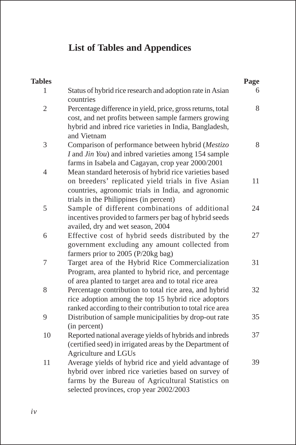# **List of Tables and Appendices**

| <b>Tables</b>  |                                                                                                                                                                                                               | Page |
|----------------|---------------------------------------------------------------------------------------------------------------------------------------------------------------------------------------------------------------|------|
| 1              | Status of hybrid rice research and adoption rate in Asian<br>countries                                                                                                                                        | 6    |
| $\overline{2}$ | Percentage difference in yield, price, gross returns, total<br>cost, and net profits between sample farmers growing<br>hybrid and inbred rice varieties in India, Bangladesh,<br>and Vietnam                  | 8    |
| 3              | Comparison of performance between hybrid (Mestizo<br>I and Jin You) and inbred varieties among 154 sample<br>farms in Isabela and Cagayan, crop year 2000/2001                                                | 8    |
| $\overline{4}$ | Mean standard heterosis of hybrid rice varieties based<br>on breeders' replicated yield trials in five Asian<br>countries, agronomic trials in India, and agronomic<br>trials in the Philippines (in percent) | 11   |
| 5              | Sample of different combinations of additional<br>incentives provided to farmers per bag of hybrid seeds<br>availed, dry and wet season, 2004                                                                 | 24   |
| 6              | Effective cost of hybrid seeds distributed by the<br>government excluding any amount collected from<br>farmers prior to 2005 (P/20kg bag)                                                                     | 27   |
| $\overline{7}$ | Target area of the Hybrid Rice Commercialization<br>Program, area planted to hybrid rice, and percentage<br>of area planted to target area and to total rice area                                             | 31   |
| 8              | Percentage contribution to total rice area, and hybrid<br>rice adoption among the top 15 hybrid rice adoptors<br>ranked according to their contribution to total rice area                                    | 32   |
| 9              | Distribution of sample municipalities by drop-out rate<br>(in percent)                                                                                                                                        | 35   |
| 10             | Reported national average yields of hybrids and inbreds<br>(certified seed) in irrigated areas by the Department of<br>Agriculture and LGUs                                                                   | 37   |
| 11             | Average yields of hybrid rice and yield advantage of<br>hybrid over inbred rice varieties based on survey of<br>farms by the Bureau of Agricultural Statistics on<br>selected provinces, crop year 2002/2003  | 39   |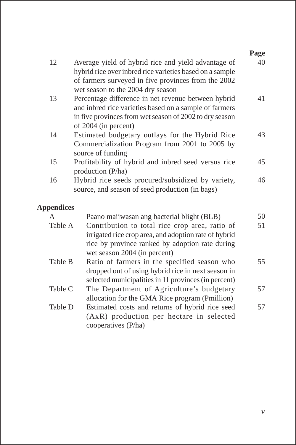|                   |                                                                                                                                                                                                             | Page |  |  |  |  |  |  |
|-------------------|-------------------------------------------------------------------------------------------------------------------------------------------------------------------------------------------------------------|------|--|--|--|--|--|--|
| 12                | Average yield of hybrid rice and yield advantage of<br>hybrid rice over inbred rice varieties based on a sample<br>of farmers surveyed in five provinces from the 2002<br>wet season to the 2004 dry season | 40   |  |  |  |  |  |  |
| 13                | Percentage difference in net revenue between hybrid<br>41<br>and inbred rice varieties based on a sample of farmers<br>in five provinces from wet season of 2002 to dry season<br>of 2004 (in percent)      |      |  |  |  |  |  |  |
| 14                | Estimated budgetary outlays for the Hybrid Rice<br>Commercialization Program from 2001 to 2005 by<br>source of funding                                                                                      |      |  |  |  |  |  |  |
| 15                | Profitability of hybrid and inbred seed versus rice<br>production (P/ha)                                                                                                                                    | 45   |  |  |  |  |  |  |
| 16                | Hybrid rice seeds procured/subsidized by variety,<br>source, and season of seed production (in bags)                                                                                                        | 46   |  |  |  |  |  |  |
| <b>Appendices</b> |                                                                                                                                                                                                             |      |  |  |  |  |  |  |
| A                 | Paano maiiwasan ang bacterial blight (BLB)                                                                                                                                                                  | 50   |  |  |  |  |  |  |
| Table A           | Contribution to total rice crop area, ratio of<br>irrigated rice crop area, and adoption rate of hybrid<br>rice by province ranked by adoption rate during<br>wet season 2004 (in percent)                  | 51   |  |  |  |  |  |  |
| Table B           | Ratio of farmers in the specified season who<br>dropped out of using hybrid rice in next season in<br>selected municipalities in 11 provinces (in percent)                                                  | 55   |  |  |  |  |  |  |

- Table C The Department of Agriculture's budgetary allocation for the GMA Rice program (Pmillion) Table D Estimated costs and returns of hybrid rice seed 57 57
- (AxR) production per hectare in selected cooperatives (P/ha)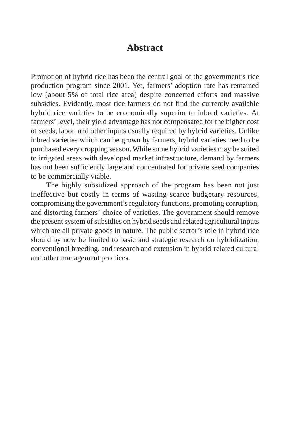# **Abstract**

Promotion of hybrid rice has been the central goal of the government's rice production program since 2001. Yet, farmers' adoption rate has remained low (about 5% of total rice area) despite concerted efforts and massive subsidies. Evidently, most rice farmers do not find the currently available hybrid rice varieties to be economically superior to inbred varieties. At farmers' level, their yield advantage has not compensated for the higher cost of seeds, labor, and other inputs usually required by hybrid varieties. Unlike inbred varieties which can be grown by farmers, hybrid varieties need to be purchased every cropping season. While some hybrid varieties may be suited to irrigated areas with developed market infrastructure, demand by farmers has not been sufficiently large and concentrated for private seed companies to be commercially viable.

The highly subsidized approach of the program has been not just ineffective but costly in terms of wasting scarce budgetary resources, compromising the government's regulatory functions, promoting corruption, and distorting farmers' choice of varieties. The government should remove the present system of subsidies on hybrid seeds and related agricultural inputs which are all private goods in nature. The public sector's role in hybrid rice should by now be limited to basic and strategic research on hybridization, conventional breeding, and research and extension in hybrid-related cultural and other management practices.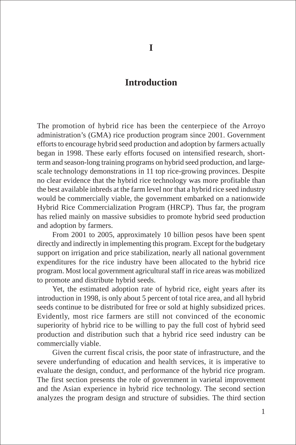# **Introduction**

The promotion of hybrid rice has been the centerpiece of the Arroyo administration's (GMA) rice production program since 2001. Government efforts to encourage hybrid seed production and adoption by farmers actually began in 1998. These early efforts focused on intensified research, shortterm and season-long training programs on hybrid seed production, and largescale technology demonstrations in 11 top rice-growing provinces. Despite no clear evidence that the hybrid rice technology was more profitable than the best available inbreds at the farm level nor that a hybrid rice seed industry would be commercially viable, the government embarked on a nationwide Hybrid Rice Commercialization Program (HRCP). Thus far, the program has relied mainly on massive subsidies to promote hybrid seed production and adoption by farmers.

From 2001 to 2005, approximately 10 billion pesos have been spent directly and indirectly in implementing this program. Except for the budgetary support on irrigation and price stabilization, nearly all national government expenditures for the rice industry have been allocated to the hybrid rice program. Most local government agricultural staff in rice areas was mobilized to promote and distribute hybrid seeds.

Yet, the estimated adoption rate of hybrid rice, eight years after its introduction in 1998, is only about 5 percent of total rice area, and all hybrid seeds continue to be distributed for free or sold at highly subsidized prices. Evidently, most rice farmers are still not convinced of the economic superiority of hybrid rice to be willing to pay the full cost of hybrid seed production and distribution such that a hybrid rice seed industry can be commercially viable.

Given the current fiscal crisis, the poor state of infrastructure, and the severe underfunding of education and health services, it is imperative to evaluate the design, conduct, and performance of the hybrid rice program. The first section presents the role of government in varietal improvement and the Asian experience in hybrid rice technology. The second section analyzes the program design and structure of subsidies. The third section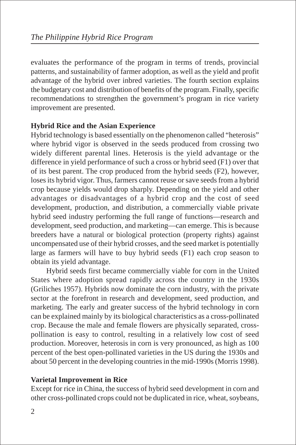evaluates the performance of the program in terms of trends, provincial patterns, and sustainability of farmer adoption, as well as the yield and profit advantage of the hybrid over inbred varieties. The fourth section explains the budgetary cost and distribution of benefits of the program. Finally, specific recommendations to strengthen the government's program in rice variety improvement are presented.

# **Hybrid Rice and the Asian Experience**

Hybrid technology is based essentially on the phenomenon called "heterosis" where hybrid vigor is observed in the seeds produced from crossing two widely different parental lines. Heterosis is the yield advantage or the difference in yield performance of such a cross or hybrid seed (F1) over that of its best parent. The crop produced from the hybrid seeds (F2), however, loses its hybrid vigor. Thus, farmers cannot reuse or save seeds from a hybrid crop because yields would drop sharply. Depending on the yield and other advantages or disadvantages of a hybrid crop and the cost of seed development, production, and distribution, a commercially viable private hybrid seed industry performing the full range of functions—research and development, seed production, and marketing—can emerge. This is because breeders have a natural or biological protection (property rights) against uncompensated use of their hybrid crosses, and the seed market is potentially large as farmers will have to buy hybrid seeds (F1) each crop season to obtain its yield advantage.

Hybrid seeds first became commercially viable for corn in the United States where adoption spread rapidly across the country in the 1930s (Griliches 1957). Hybrids now dominate the corn industry, with the private sector at the forefront in research and development, seed production, and marketing. The early and greater success of the hybrid technology in corn can be explained mainly by its biological characteristics as a cross-pollinated crop. Because the male and female flowers are physically separated, crosspollination is easy to control, resulting in a relatively low cost of seed production. Moreover, heterosis in corn is very pronounced, as high as 100 percent of the best open-pollinated varieties in the US during the 1930s and about 50 percent in the developing countries in the mid-1990s (Morris 1998).

# **Varietal Improvement in Rice**

Except for rice in China, the success of hybrid seed development in corn and other cross-pollinated crops could not be duplicated in rice, wheat, soybeans,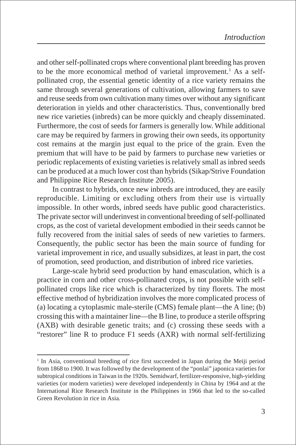and other self-pollinated crops where conventional plant breeding has proven to be the more economical method of varietal improvement.<sup>1</sup> As a selfpollinated crop, the essential genetic identity of a rice variety remains the same through several generations of cultivation, allowing farmers to save and reuse seeds from own cultivation many times over without any significant deterioration in yields and other characteristics. Thus, conventionally bred new rice varieties (inbreds) can be more quickly and cheaply disseminated. Furthermore, the cost of seeds for farmers is generally low. While additional care may be required by farmers in growing their own seeds, its opportunity cost remains at the margin just equal to the price of the grain. Even the premium that will have to be paid by farmers to purchase new varieties or periodic replacements of existing varieties is relatively small as inbred seeds can be produced at a much lower cost than hybrids (Sikap/Strive Foundation and Philippine Rice Research Institute 2005).

In contrast to hybrids, once new inbreds are introduced, they are easily reproducible. Limiting or excluding others from their use is virtually impossible. In other words, inbred seeds have public good characteristics. The private sector will underinvest in conventional breeding of self-pollinated crops, as the cost of varietal development embodied in their seeds cannot be fully recovered from the initial sales of seeds of new varieties to farmers. Consequently, the public sector has been the main source of funding for varietal improvement in rice, and usually subsidizes, at least in part, the cost of promotion, seed production, and distribution of inbred rice varieties.

Large-scale hybrid seed production by hand emasculation, which is a practice in corn and other cross-pollinated crops, is not possible with selfpollinated crops like rice which is characterized by tiny florets. The most effective method of hybridization involves the more complicated process of (a) locating a cytoplasmic male-sterile (CMS) female plant—the A line; (b) crossing this with a maintainer line—the B line, to produce a sterile offspring (AXB) with desirable genetic traits; and (c) crossing these seeds with a "restorer" line R to produce F1 seeds (AXR) with normal self-fertilizing

<sup>&</sup>lt;sup>1</sup> In Asia, conventional breeding of rice first succeeded in Japan during the Meiji period from 1868 to 1900. It was followed by the development of the "ponlai" japonica varieties for subtropical conditions in Taiwan in the 1920s. Semidwarf, fertilizer-responsive, high-yielding varieties (or modern varieties) were developed independently in China by 1964 and at the International Rice Research Institute in the Philippines in 1966 that led to the so-called Green Revolution in rice in Asia.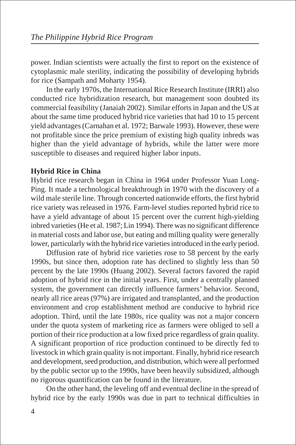power. Indian scientists were actually the first to report on the existence of cytoplasmic male sterility, indicating the possibility of developing hybrids for rice (Sampath and Moharty 1954).

In the early 1970s, the International Rice Research Institute (IRRI) also conducted rice hybridization research, but management soon doubted its commercial feasibility (Janaiah 2002). Similar efforts in Japan and the US at about the same time produced hybrid rice varieties that had 10 to 15 percent yield advantages (Carnahan et al. 1972; Barwale 1993). However, these were not profitable since the price premium of existing high quality inbreds was higher than the yield advantage of hybrids, while the latter were more susceptible to diseases and required higher labor inputs.

#### **Hybrid Rice in China**

Hybrid rice research began in China in 1964 under Professor Yuan Long-Ping. It made a technological breakthrough in 1970 with the discovery of a wild male sterile line. Through concerted nationwide efforts, the first hybrid rice variety was released in 1976. Farm-level studies reported hybrid rice to have a yield advantage of about 15 percent over the current high-yielding inbred varieties (He et al. 1987; Lin 1994). There was no significant difference in material costs and labor use, but eating and milling quality were generally lower, particularly with the hybrid rice varieties introduced in the early period.

Diffusion rate of hybrid rice varieties rose to 58 percent by the early 1990s, but since then, adoption rate has declined to slightly less than 50 percent by the late 1990s (Huang 2002). Several factors favored the rapid adoption of hybrid rice in the initial years. First, under a centrally planned system, the government can directly influence farmers' behavior. Second, nearly all rice areas (97%) are irrigated and transplanted, and the production environment and crop establishment method are conducive to hybrid rice adoption. Third, until the late 1980s, rice quality was not a major concern under the quota system of marketing rice as farmers were obliged to sell a portion of their rice production at a low fixed price regardless of grain quality. A significant proportion of rice production continued to be directly fed to livestock in which grain quality is not important. Finally, hybrid rice research and development, seed production, and distribution, which were all performed by the public sector up to the 1990s, have been heavily subsidized, although no rigorous quantification can be found in the literature.

On the other hand, the leveling off and eventual decline in the spread of hybrid rice by the early 1990s was due in part to technical difficulties in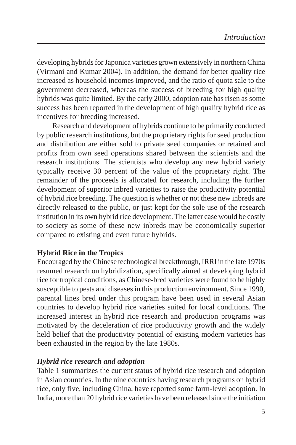developing hybrids for Japonica varieties grown extensively in northern China (Virmani and Kumar 2004). In addition, the demand for better quality rice increased as household incomes improved, and the ratio of quota sale to the government decreased, whereas the success of breeding for high quality hybrids was quite limited. By the early 2000, adoption rate has risen as some success has been reported in the development of high quality hybrid rice as incentives for breeding increased.

Research and development of hybrids continue to be primarily conducted by public research institutions, but the proprietary rights for seed production and distribution are either sold to private seed companies or retained and profits from own seed operations shared between the scientists and the research institutions. The scientists who develop any new hybrid variety typically receive 30 percent of the value of the proprietary right. The remainder of the proceeds is allocated for research, including the further development of superior inbred varieties to raise the productivity potential of hybrid rice breeding. The question is whether or not these new inbreds are directly released to the public, or just kept for the sole use of the research institution in its own hybrid rice development. The latter case would be costly to society as some of these new inbreds may be economically superior compared to existing and even future hybrids.

# **Hybrid Rice in the Tropics**

Encouraged by the Chinese technological breakthrough, IRRI in the late 1970s resumed research on hybridization, specifically aimed at developing hybrid rice for tropical conditions, as Chinese-bred varieties were found to be highly susceptible to pests and diseases in this production environment. Since 1990, parental lines bred under this program have been used in several Asian countries to develop hybrid rice varieties suited for local conditions. The increased interest in hybrid rice research and production programs was motivated by the deceleration of rice productivity growth and the widely held belief that the productivity potential of existing modern varieties has been exhausted in the region by the late 1980s.

# *Hybrid rice research and adoption*

Table 1 summarizes the current status of hybrid rice research and adoption in Asian countries. In the nine countries having research programs on hybrid rice, only five, including China, have reported some farm-level adoption. In India, more than 20 hybrid rice varieties have been released since the initiation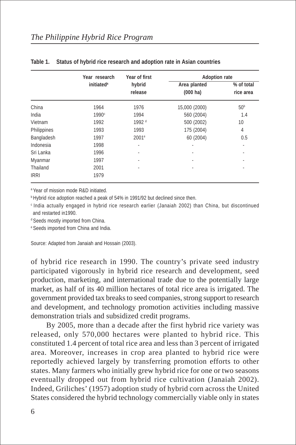|             | Year research                | Year of first       | <b>Adoption rate</b>               |                         |  |  |  |
|-------------|------------------------------|---------------------|------------------------------------|-------------------------|--|--|--|
|             | <i>initiated<sup>a</sup></i> | hybrid<br>release   | Area planted<br>$(000 \text{ ha})$ | % of total<br>rice area |  |  |  |
| China       | 1964                         | 1976                | 15,000 (2000)                      | 50 <sup>b</sup>         |  |  |  |
| India       | 1990 <sup>c</sup>            | 1994                | 560 (2004)                         | 1.4                     |  |  |  |
| Vietnam     | 1992                         | 1992 <sup>d</sup>   | 500 (2002)                         | 10                      |  |  |  |
| Philippines | 1993                         | 1993                | 175 (2004)                         | 4                       |  |  |  |
| Bangladesh  | 1997                         | $2001$ <sup>e</sup> | 60 (2004)                          | 0.5                     |  |  |  |
| Indonesia   | 1998                         | ٠                   | ٠                                  | ٠                       |  |  |  |
| Sri Lanka   | 1996                         | ٠                   | ٠                                  | ٠                       |  |  |  |
| Myanmar     | 1997                         | ٠                   | ٠                                  | ٠                       |  |  |  |
| Thailand    | 2001                         | ٠                   |                                    | ٠                       |  |  |  |
| <b>IRRI</b> | 1979                         |                     |                                    |                         |  |  |  |

#### **Table 1. Status of hybrid rice research and adoption rate in Asian countries**

a Year of mission mode R&D initiated.

**b Hybrid rice adoption reached a peak of 54% in 1991/92 but declined since then.** 

c India actually engaged in hybrid rice research earlier (Janaiah 2002) than China, but discontinued and restarted in1990.

d Seeds mostly imported from China.

e Seeds imported from China and India.

Source: Adapted from Janaiah and Hossain (2003).

of hybrid rice research in 1990. The country's private seed industry participated vigorously in hybrid rice research and development, seed production, marketing, and international trade due to the potentially large market, as half of its 40 million hectares of total rice area is irrigated. The government provided tax breaks to seed companies, strong support to research and development, and technology promotion activities including massive demonstration trials and subsidized credit programs.

By 2005, more than a decade after the first hybrid rice variety was released, only 570,000 hectares were planted to hybrid rice. This constituted 1.4 percent of total rice area and less than 3 percent of irrigated area. Moreover, increases in crop area planted to hybrid rice were reportedly achieved largely by transferring promotion efforts to other states. Many farmers who initially grew hybrid rice for one or two seasons eventually dropped out from hybrid rice cultivation (Janaiah 2002). Indeed, Griliches' (1957) adoption study of hybrid corn across the United States considered the hybrid technology commercially viable only in states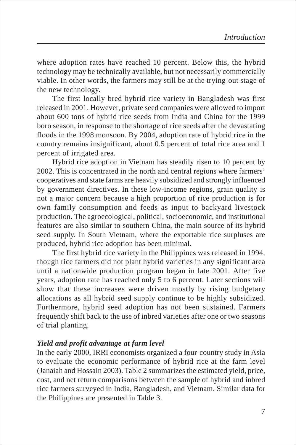where adoption rates have reached 10 percent. Below this, the hybrid technology may be technically available, but not necessarily commercially viable. In other words, the farmers may still be at the trying-out stage of the new technology.

The first locally bred hybrid rice variety in Bangladesh was first released in 2001. However, private seed companies were allowed to import about 600 tons of hybrid rice seeds from India and China for the 1999 boro season, in response to the shortage of rice seeds after the devastating floods in the 1998 monsoon. By 2004, adoption rate of hybrid rice in the country remains insignificant, about 0.5 percent of total rice area and 1 percent of irrigated area.

Hybrid rice adoption in Vietnam has steadily risen to 10 percent by 2002. This is concentrated in the north and central regions where farmers' cooperatives and state farms are heavily subsidized and strongly influenced by government directives. In these low-income regions, grain quality is not a major concern because a high proportion of rice production is for own family consumption and feeds as input to backyard livestock production. The agroecological, political, socioeconomic, and institutional features are also similar to southern China, the main source of its hybrid seed supply. In South Vietnam, where the exportable rice surpluses are produced, hybrid rice adoption has been minimal.

The first hybrid rice variety in the Philippines was released in 1994, though rice farmers did not plant hybrid varieties in any significant area until a nationwide production program began in late 2001. After five years, adoption rate has reached only 5 to 6 percent. Later sections will show that these increases were driven mostly by rising budgetary allocations as all hybrid seed supply continue to be highly subsidized. Furthermore, hybrid seed adoption has not been sustained. Farmers frequently shift back to the use of inbred varieties after one or two seasons of trial planting.

# *Yield and profit advantage at farm level*

In the early 2000, IRRI economists organized a four-country study in Asia to evaluate the economic performance of hybrid rice at the farm level (Janaiah and Hossain 2003). Table 2 summarizes the estimated yield, price, cost, and net return comparisons between the sample of hybrid and inbred rice farmers surveyed in India, Bangladesh, and Vietnam. Similar data for the Philippines are presented in Table 3.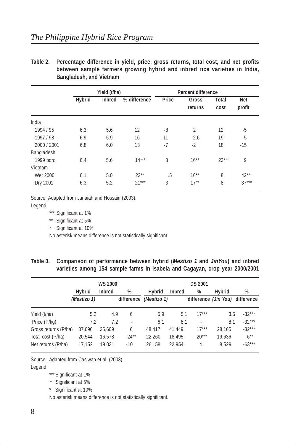|             | Yield (t/ha) |               |              | <b>Percent difference</b> |                  |                      |                      |
|-------------|--------------|---------------|--------------|---------------------------|------------------|----------------------|----------------------|
|             | Hybrid       | <b>Inbred</b> | % difference | Price                     | Gross<br>returns | <b>Total</b><br>cost | <b>Net</b><br>profit |
| India       |              |               |              |                           |                  |                      |                      |
| 1994 / 95   | 6.3          | 5.6           | 12           | -8                        | 2                | 12                   | -5                   |
| 1997 / 98   | 6.9          | 5.9           | 16           | $-11$                     | 2.6              | 19                   | -5                   |
| 2000 / 2001 | 6.8          | 6.0           | 13           | $-7$                      | $-2$             | 18                   | $-15$                |
| Bangladesh  |              |               |              |                           |                  |                      |                      |
| 1999 boro   | 6.4          | 5.6           | $14***$      | 3                         | $16***$          | $23***$              | 9                    |
| Vietnam     |              |               |              |                           |                  |                      |                      |
| Wet 2000    | 6.1          | 5.0           | $22**$       | .5                        | $16***$          | 8                    | $42***$              |
| Dry 2001    | 6.3          | 5.2           | $21***$      | $-3$                      | $17**$           | 8                    | $37***$              |

**Table 2. Percentage difference in yield, price, gross returns, total cost, and net profits between sample farmers growing hybrid and inbred rice varieties in India, Bangladesh, and Vietnam**

Source: Adapted from Janaiah and Hossain (2003).

Legend:

\*\*\* Significant at 1%

\*\* Significant at 5%

\* Significant at 10%

No asterisk means difference is not statistically significant.

| Table 3. Comparison of performance between hybrid (Mestizo 1 and JinYou) and inbred |
|-------------------------------------------------------------------------------------|
| varieties among 154 sample farms in Isabela and Cagayan, crop year 2000/2001        |

|                      |             | <b>WS 2000</b> |        | <b>DS 2001</b>         |               |                          |               |                                 |  |  |
|----------------------|-------------|----------------|--------|------------------------|---------------|--------------------------|---------------|---------------------------------|--|--|
|                      | Hybrid      | <b>Inbred</b>  | %      | Hybrid                 | <b>Inbred</b> | %                        | <b>Hybrid</b> | %                               |  |  |
|                      | (Mestizo 1) |                |        | difference (Mestizo 1) |               |                          |               | difference (Jin You) difference |  |  |
| Yield (t/ha)         | 5.2         | 4.9            | 6      | 5.9                    | 5.1           | $17***$                  | 3.5           | $-32***$                        |  |  |
| Price (P/kg)         | 7.2         | 7.2            | ٠      | 8.1                    | 8.1           | $\overline{\phantom{a}}$ | 8.1           | $-32***$                        |  |  |
| Gross returns (P/ha) | 37,696      | 35,609         | 6      | 48.417                 | 41.449        | $17***$                  | 28.165        | $-32***$                        |  |  |
| Total cost (P/ha)    | 20.544      | 16,578         | $24**$ | 22,260                 | 18.495        | $20***$                  | 19,636        | $6***$                          |  |  |
| Net returns (P/ha)   | 17,152      | 19.031         | $-10$  | 26.158                 | 22.954        | 14                       | 8.529         | $-63***$                        |  |  |

Source: Adapted from Casiwan et al. (2003).

Legend:

\*\*\* Significant at 1%

\*\* Significant at 5%

\* Significant at 10%

No asterisk means difference is not statistically significant.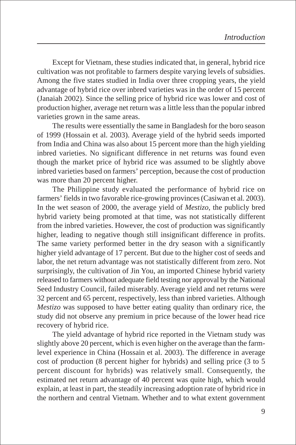Except for Vietnam, these studies indicated that, in general, hybrid rice cultivation was not profitable to farmers despite varying levels of subsidies. Among the five states studied in India over three cropping years, the yield advantage of hybrid rice over inbred varieties was in the order of 15 percent (Janaiah 2002). Since the selling price of hybrid rice was lower and cost of production higher, average net return was a little less than the popular inbred varieties grown in the same areas.

The results were essentially the same in Bangladesh for the boro season of 1999 (Hossain et al. 2003). Average yield of the hybrid seeds imported from India and China was also about 15 percent more than the high yielding inbred varieties. No significant difference in net returns was found even though the market price of hybrid rice was assumed to be slightly above inbred varieties based on farmers' perception, because the cost of production was more than 20 percent higher.

The Philippine study evaluated the performance of hybrid rice on farmers' fields in two favorable rice-growing provinces (Casiwan et al. 2003). In the wet season of 2000, the average yield of *Mestizo*, the publicly bred hybrid variety being promoted at that time, was not statistically different from the inbred varieties. However, the cost of production was significantly higher, leading to negative though still insignificant difference in profits. The same variety performed better in the dry season with a significantly higher yield advantage of 17 percent. But due to the higher cost of seeds and labor, the net return advantage was not statistically different from zero. Not surprisingly, the cultivation of Jin You, an imported Chinese hybrid variety released to farmers without adequate field testing nor approval by the National Seed Industry Council, failed miserably. Average yield and net returns were 32 percent and 65 percent, respectively, less than inbred varieties. Although *Mestizo* was supposed to have better eating quality than ordinary rice, the study did not observe any premium in price because of the lower head rice recovery of hybrid rice.

The yield advantage of hybrid rice reported in the Vietnam study was slightly above 20 percent, which is even higher on the average than the farmlevel experience in China (Hossain et al. 2003). The difference in average cost of production (8 percent higher for hybrids) and selling price (3 to 5 percent discount for hybrids) was relatively small. Consequently, the estimated net return advantage of 40 percent was quite high, which would explain, at least in part, the steadily increasing adoption rate of hybrid rice in the northern and central Vietnam. Whether and to what extent government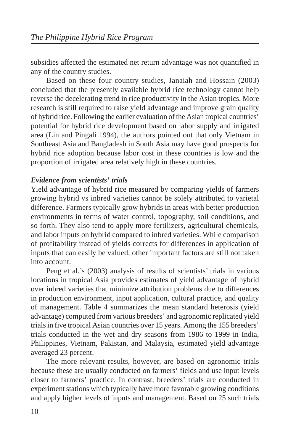subsidies affected the estimated net return advantage was not quantified in any of the country studies.

Based on these four country studies, Janaiah and Hossain (2003) concluded that the presently available hybrid rice technology cannot help reverse the decelerating trend in rice productivity in the Asian tropics. More research is still required to raise yield advantage and improve grain quality of hybrid rice. Following the earlier evaluation of the Asian tropical countries' potential for hybrid rice development based on labor supply and irrigated area (Lin and Pingali 1994), the authors pointed out that only Vietnam in Southeast Asia and Bangladesh in South Asia may have good prospects for hybrid rice adoption because labor cost in these countries is low and the proportion of irrigated area relatively high in these countries.

## *Evidence from scientists' trials*

Yield advantage of hybrid rice measured by comparing yields of farmers growing hybrid vs inbred varieties cannot be solely attributed to varietal difference. Farmers typically grow hybrids in areas with better production environments in terms of water control, topography, soil conditions, and so forth. They also tend to apply more fertilizers, agricultural chemicals, and labor inputs on hybrid compared to inbred varieties. While comparison of profitability instead of yields corrects for differences in application of inputs that can easily be valued, other important factors are still not taken into account.

Peng et al.'s (2003) analysis of results of scientists' trials in various locations in tropical Asia provides estimates of yield advantage of hybrid over inbred varieties that minimize attribution problems due to differences in production environment, input application, cultural practice, and quality of management. Table 4 summarizes the mean standard heterosis (yield advantage) computed from various breeders' and agronomic replicated yield trials in five tropical Asian countries over 15 years. Among the 155 breeders' trials conducted in the wet and dry seasons from 1986 to 1999 in India, Philippines, Vietnam, Pakistan, and Malaysia, estimated yield advantage averaged 23 percent.

The more relevant results, however, are based on agronomic trials because these are usually conducted on farmers' fields and use input levels closer to farmers' practice. In contrast, breeders' trials are conducted in experiment stations which typically have more favorable growing conditions and apply higher levels of inputs and management. Based on 25 such trials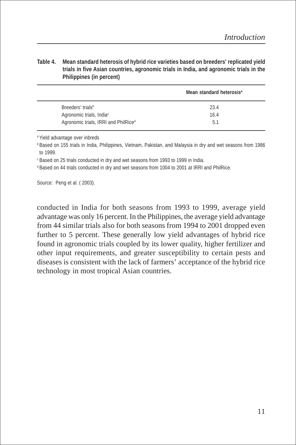#### **Table 4. Mean standard heterosis of hybrid rice varieties based on breeders' replicated yield trials in five Asian countries, agronomic trials in India, and agronomic trials in the Philippines (in percent)**

|                                                  | Mean standard heterosis <sup>a</sup> |
|--------------------------------------------------|--------------------------------------|
| Breeders' trials <sup>b</sup>                    | 23.4                                 |
| Agronomic trials, India <sup>c</sup>             | 16.4                                 |
| Agronomic trials, IRRI and PhilRice <sup>d</sup> | 5.1                                  |

<sup>a</sup> Yield advantage over inbreds

<sup>b</sup> Based on 155 trials in India, Philippines, Vietnam, Pakistan, and Malaysia in dry and wet seasons from 1986 to 1999.

<sup>c</sup> Based on 25 trials conducted in dry and wet seasons from 1993 to 1999 in India.

<sup>d</sup> Based on 44 trials conducted in dry and wet seasons from 1004 to 2001 at IRRI and PhilRice.

Source: Peng et al. ( 2003).

conducted in India for both seasons from 1993 to 1999, average yield advantage was only 16 percent. In the Philippines, the average yield advantage from 44 similar trials also for both seasons from 1994 to 2001 dropped even further to 5 percent. These generally low yield advantages of hybrid rice found in agronomic trials coupled by its lower quality, higher fertilizer and other input requirements, and greater susceptibility to certain pests and diseases is consistent with the lack of farmers' acceptance of the hybrid rice technology in most tropical Asian countries.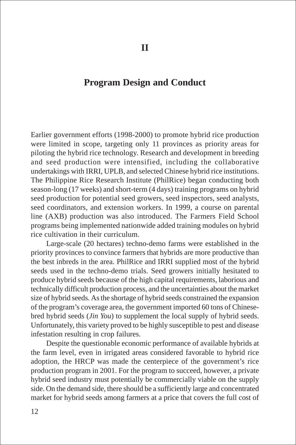# **Program Design and Conduct**

Earlier government efforts (1998-2000) to promote hybrid rice production were limited in scope, targeting only 11 provinces as priority areas for piloting the hybrid rice technology. Research and development in breeding and seed production were intensified, including the collaborative undertakings with IRRI, UPLB, and selected Chinese hybrid rice institutions. The Philippine Rice Research Institute (PhilRice) began conducting both season-long (17 weeks) and short-term (4 days) training programs on hybrid seed production for potential seed growers, seed inspectors, seed analysts, seed coordinators, and extension workers. In 1999, a course on parental line (AXB) production was also introduced. The Farmers Field School programs being implemented nationwide added training modules on hybrid rice cultivation in their curriculum.

Large-scale (20 hectares) techno-demo farms were established in the priority provinces to convince farmers that hybrids are more productive than the best inbreds in the area. PhilRice and IRRI supplied most of the hybrid seeds used in the techno-demo trials. Seed growers initially hesitated to produce hybrid seeds because of the high capital requirements, laborious and technically difficult production process, and the uncertainties about the market size of hybrid seeds. As the shortage of hybrid seeds constrained the expansion of the program's coverage area, the government imported 60 tons of Chinesebred hybrid seeds (*Jin You*) to supplement the local supply of hybrid seeds. Unfortunately, this variety proved to be highly susceptible to pest and disease infestation resulting in crop failures.

Despite the questionable economic performance of available hybrids at the farm level, even in irrigated areas considered favorable to hybrid rice adoption, the HRCP was made the centerpiece of the government's rice production program in 2001. For the program to succeed, however, a private hybrid seed industry must potentially be commercially viable on the supply side. On the demand side, there should be a sufficiently large and concentrated market for hybrid seeds among farmers at a price that covers the full cost of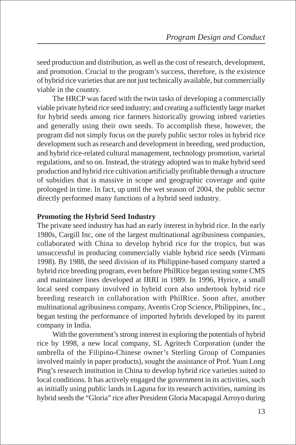seed production and distribution, as well as the cost of research, development, and promotion. Crucial to the program's success, therefore, is the existence of hybrid rice varieties that are not just technically available, but commercially viable in the country.

The HRCP was faced with the twin tasks of developing a commercially viable private hybrid rice seed industry; and creating a sufficiently large market for hybrid seeds among rice farmers historically growing inbred varieties and generally using their own seeds. To accomplish these, however, the program did not simply focus on the purely public sector roles in hybrid rice development such as research and development in breeding, seed production, and hybrid rice-related cultural management, technology promotion, varietal regulations, and so on. Instead, the strategy adopted was to make hybrid seed production and hybrid rice cultivation artificially profitable through a structure of subsidies that is massive in scope and geographic coverage and quite prolonged in time. In fact, up until the wet season of 2004, the public sector directly performed many functions of a hybrid seed industry.

# **Promoting the Hybrid Seed Industry**

The private seed industry has had an early interest in hybrid rice. In the early 1980s, Cargill Inc, one of the largest multinational agribusiness companies, collaborated with China to develop hybrid rice for the tropics, but was unsuccessful in producing commercially viable hybrid rice seeds (Virmani 1998). By 1988, the seed division of its Philippine-based company started a hybrid rice breeding program, even before PhilRice began testing some CMS and maintainer lines developed at IRRI in 1989. In 1996, Hyrice, a small local seed company involved in hybrid corn also undertook hybrid rice breeding research in collaboration with PhilRice. Soon after, another multinational agribusiness company, Aventis Crop Science, Philippines, Inc., began testing the performance of imported hybrids developed by its parent company in India.

With the government's strong interest in exploring the potentials of hybrid rice by 1998, a new local company, SL Agritech Corporation (under the umbrella of the Filipino-Chinese owner's Sterling Group of Companies involved mainly in paper products), sought the assistance of Prof. Yuan Long Ping's research institution in China to develop hybrid rice varieties suited to local conditions. It has actively engaged the government in its activities, such as initially using public lands in Laguna for its research activities, naming its hybrid seeds the "Gloria" rice after President Gloria Macapagal Arroyo during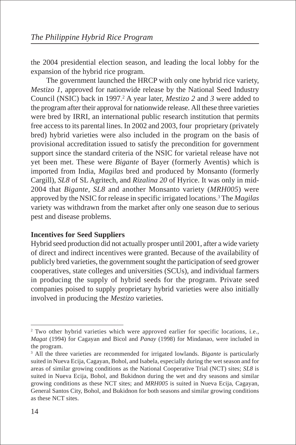the 2004 presidential election season, and leading the local lobby for the expansion of the hybrid rice program.

The government launched the HRCP with only one hybrid rice variety, *Mestizo 1*, approved for nationwide release by the National Seed Industry Council (NSIC) back in 1997.<sup>2</sup> A year later, *Mestizo* 2 and 3 were added to the program after their approval for nationwide release. All these three varieties were bred by IRRI, an international public research institution that permits free access to its parental lines. In 2002 and 2003, four proprietary (privately bred) hybrid varieties were also included in the program on the basis of provisional accreditation issued to satisfy the precondition for government support since the standard criteria of the NSIC for varietal release have not yet been met. These were *Bigante* of Bayer (formerly Aventis) which is imported from India, *Magilas* bred and produced by Monsanto (formerly Cargill), *SL8* of SL Agritech, and *Rizalina 20* of Hyrice. It was only in mid-2004 that *Bigante, SL8* and another Monsanto variety (*MRH005*) were approved by the NSIC for release in specific irrigated locations.3 The *Magilas* variety was withdrawn from the market after only one season due to serious pest and disease problems.

# **Incentives for Seed Suppliers**

Hybrid seed production did not actually prosper until 2001, after a wide variety of direct and indirect incentives were granted. Because of the availability of publicly bred varieties, the government sought the participation of seed grower cooperatives, state colleges and universities (SCUs), and individual farmers in producing the supply of hybrid seeds for the program. Private seed companies poised to supply proprietary hybrid varieties were also initially involved in producing the *Mestizo* varieties.

<sup>&</sup>lt;sup>2</sup> Two other hybrid varieties which were approved earlier for specific locations, i.e., *Magat* (1994) for Cagayan and Bicol and *Panay* (1998) for Mindanao, were included in the program.

<sup>3</sup> All the three varieties are recommended for irrigated lowlands. *Bigante* is particularly suited in Nueva Ecija, Cagayan, Bohol, and Isabela, especially during the wet season and for areas of similar growing conditions as the National Cooperative Trial (NCT) sites; *SL8* is suited in Nueva Ecija, Bohol, and Bukidnon during the wet and dry seasons and similar growing conditions as these NCT sites; and *MRH005* is suited in Nueva Ecija, Cagayan, General Santos City, Bohol, and Bukidnon for both seasons and similar growing conditions as these NCT sites.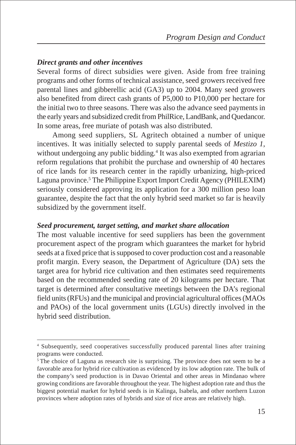## *Direct grants and other incentives*

Several forms of direct subsidies were given. Aside from free training programs and other forms of technical assistance, seed growers received free parental lines and gibberellic acid (GA3) up to 2004. Many seed growers also benefited from direct cash grants of P5,000 to P10,000 per hectare for the initial two to three seasons. There was also the advance seed payments in the early years and subsidized credit from PhilRice, LandBank, and Quedancor. In some areas, free muriate of potash was also distributed.

Among seed suppliers, SL Agritech obtained a number of unique incentives. It was initially selected to supply parental seeds of *Mestizo 1*, without undergoing any public bidding.<sup>4</sup> It was also exempted from agrarian reform regulations that prohibit the purchase and ownership of 40 hectares of rice lands for its research center in the rapidly urbanizing, high-priced Laguna province.<sup>5</sup> The Philippine Export Import Credit Agency (PHILEXIM) seriously considered approving its application for a 300 million peso loan guarantee, despite the fact that the only hybrid seed market so far is heavily subsidized by the government itself.

#### *Seed procurement, target setting, and market share allocation*

The most valuable incentive for seed suppliers has been the government procurement aspect of the program which guarantees the market for hybrid seeds at a fixed price that is supposed to cover production cost and a reasonable profit margin. Every season, the Department of Agriculture (DA) sets the target area for hybrid rice cultivation and then estimates seed requirements based on the recommended seeding rate of 20 kilograms per hectare. That target is determined after consultative meetings between the DA's regional field units (RFUs) and the municipal and provincial agricultural offices (MAOs and PAOs) of the local government units (LGUs) directly involved in the hybrid seed distribution.

<sup>4</sup> Subsequently, seed cooperatives successfully produced parental lines after training programs were conducted.

<sup>&</sup>lt;sup>5</sup>The choice of Laguna as research site is surprising. The province does not seem to be a favorable area for hybrid rice cultivation as evidenced by its low adoption rate. The bulk of the company's seed production is in Davao Oriental and other areas in Mindanao where growing conditions are favorable throughout the year. The highest adoption rate and thus the biggest potential market for hybrid seeds is in Kalinga, Isabela, and other northern Luzon provinces where adoption rates of hybrids and size of rice areas are relatively high.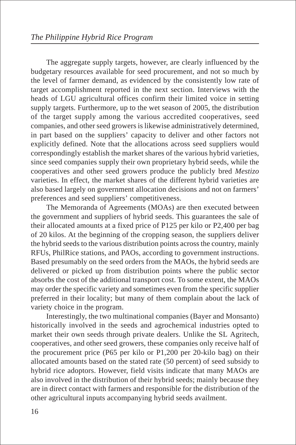The aggregate supply targets, however, are clearly influenced by the budgetary resources available for seed procurement, and not so much by the level of farmer demand, as evidenced by the consistently low rate of target accomplishment reported in the next section. Interviews with the heads of LGU agricultural offices confirm their limited voice in setting supply targets. Furthermore, up to the wet season of 2005, the distribution of the target supply among the various accredited cooperatives, seed companies, and other seed growers is likewise administratively determined, in part based on the suppliers' capacity to deliver and other factors not explicitly defined. Note that the allocations across seed suppliers would correspondingly establish the market shares of the various hybrid varieties, since seed companies supply their own proprietary hybrid seeds, while the cooperatives and other seed growers produce the publicly bred *Mestizo* varieties. In effect, the market shares of the different hybrid varieties are also based largely on government allocation decisions and not on farmers' preferences and seed suppliers' competitiveness.

The Memoranda of Agreements (MOAs) are then executed between the government and suppliers of hybrid seeds. This guarantees the sale of their allocated amounts at a fixed price of P125 per kilo or P2,400 per bag of 20 kilos. At the beginning of the cropping season, the suppliers deliver the hybrid seeds to the various distribution points across the country, mainly RFUs, PhilRice stations, and PAOs, according to government instructions. Based presumably on the seed orders from the MAOs, the hybrid seeds are delivered or picked up from distribution points where the public sector absorbs the cost of the additional transport cost. To some extent, the MAOs may order the specific variety and sometimes even from the specific supplier preferred in their locality; but many of them complain about the lack of variety choice in the program.

Interestingly, the two multinational companies (Bayer and Monsanto) historically involved in the seeds and agrochemical industries opted to market their own seeds through private dealers. Unlike the SL Agritech, cooperatives, and other seed growers, these companies only receive half of the procurement price (P65 per kilo or P1,200 per 20-kilo bag) on their allocated amounts based on the stated rate (50 percent) of seed subsidy to hybrid rice adoptors. However, field visits indicate that many MAOs are also involved in the distribution of their hybrid seeds; mainly because they are in direct contact with farmers and responsible for the distribution of the other agricultural inputs accompanying hybrid seeds availment.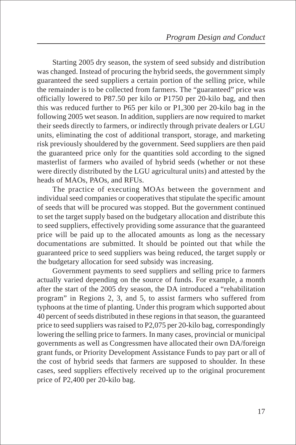Starting 2005 dry season, the system of seed subsidy and distribution was changed. Instead of procuring the hybrid seeds, the government simply guaranteed the seed suppliers a certain portion of the selling price, while the remainder is to be collected from farmers. The "guaranteed" price was officially lowered to P87.50 per kilo or P1750 per 20-kilo bag, and then this was reduced further to P65 per kilo or P1,300 per 20-kilo bag in the following 2005 wet season. In addition, suppliers are now required to market their seeds directly to farmers, or indirectly through private dealers or LGU units, eliminating the cost of additional transport, storage, and marketing risk previously shouldered by the government. Seed suppliers are then paid the guaranteed price only for the quantities sold according to the signed masterlist of farmers who availed of hybrid seeds (whether or not these were directly distributed by the LGU agricultural units) and attested by the heads of MAOs, PAOs, and RFUs.

The practice of executing MOAs between the government and individual seed companies or cooperatives that stipulate the specific amount of seeds that will be procured was stopped. But the government continued to set the target supply based on the budgetary allocation and distribute this to seed suppliers, effectively providing some assurance that the guaranteed price will be paid up to the allocated amounts as long as the necessary documentations are submitted. It should be pointed out that while the guaranteed price to seed suppliers was being reduced, the target supply or the budgetary allocation for seed subsidy was increasing.

Government payments to seed suppliers and selling price to farmers actually varied depending on the source of funds. For example, a month after the start of the 2005 dry season, the DA introduced a "rehabilitation program" in Regions 2, 3, and 5, to assist farmers who suffered from typhoons at the time of planting. Under this program which supported about 40 percent of seeds distributed in these regions in that season, the guaranteed price to seed suppliers was raised to P2,075 per 20-kilo bag, correspondingly lowering the selling price to farmers. In many cases, provincial or municipal governments as well as Congressmen have allocated their own DA/foreign grant funds, or Priority Development Assistance Funds to pay part or all of the cost of hybrid seeds that farmers are supposed to shoulder. In these cases, seed suppliers effectively received up to the original procurement price of P2,400 per 20-kilo bag.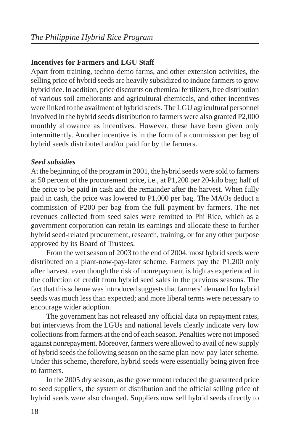## **Incentives for Farmers and LGU Staff**

Apart from training, techno-demo farms, and other extension activities, the selling price of hybrid seeds are heavily subsidized to induce farmers to grow hybrid rice. In addition, price discounts on chemical fertilizers, free distribution of various soil ameliorants and agricultural chemicals, and other incentives were linked to the availment of hybrid seeds. The LGU agricultural personnel involved in the hybrid seeds distribution to farmers were also granted P2,000 monthly allowance as incentives. However, these have been given only intermittently. Another incentive is in the form of a commission per bag of hybrid seeds distributed and/or paid for by the farmers.

## *Seed subsidies*

At the beginning of the program in 2001, the hybrid seeds were sold to farmers at 50 percent of the procurement price, i.e., at P1,200 per 20-kilo bag; half of the price to be paid in cash and the remainder after the harvest. When fully paid in cash, the price was lowered to P1,000 per bag. The MAOs deduct a commission of P200 per bag from the full payment by farmers. The net revenues collected from seed sales were remitted to PhilRice, which as a government corporation can retain its earnings and allocate these to further hybrid seed-related procurement, research, training, or for any other purpose approved by its Board of Trustees.

From the wet season of 2003 to the end of 2004, most hybrid seeds were distributed on a plant-now-pay-later scheme. Farmers pay the P1,200 only after harvest, even though the risk of nonrepayment is high as experienced in the collection of credit from hybrid seed sales in the previous seasons. The fact that this scheme was introduced suggests that farmers' demand for hybrid seeds was much less than expected; and more liberal terms were necessary to encourage wider adoption.

The government has not released any official data on repayment rates, but interviews from the LGUs and national levels clearly indicate very low collections from farmers at the end of each season. Penalties were not imposed against nonrepayment. Moreover, farmers were allowed to avail of new supply of hybrid seeds the following season on the same plan-now-pay-later scheme. Under this scheme, therefore, hybrid seeds were essentially being given free to farmers.

In the 2005 dry season, as the government reduced the guaranteed price to seed suppliers, the system of distribution and the official selling price of hybrid seeds were also changed. Suppliers now sell hybrid seeds directly to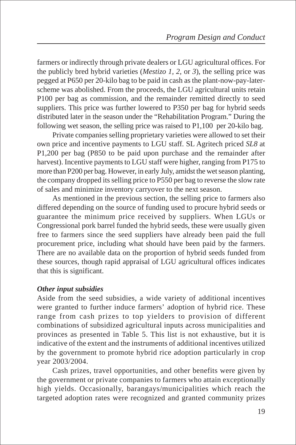farmers or indirectly through private dealers or LGU agricultural offices. For the publicly bred hybrid varieties (*Mestizo 1, 2,* or *3*), the selling price was pegged at P650 per 20-kilo bag to be paid in cash as the plant-now-pay-laterscheme was abolished. From the proceeds, the LGU agricultural units retain P100 per bag as commission, and the remainder remitted directly to seed suppliers. This price was further lowered to P350 per bag for hybrid seeds distributed later in the season under the "Rehabilitation Program." During the following wet season, the selling price was raised to P1,100 per 20-kilo bag.

Private companies selling proprietary varieties were allowed to set their own price and incentive payments to LGU staff. SL Agritech priced *SL8* at P1,200 per bag (P850 to be paid upon purchase and the remainder after harvest). Incentive payments to LGU staff were higher, ranging from P175 to more than P200 per bag. However, in early July, amidst the wet season planting, the company dropped its selling price to P550 per bag to reverse the slow rate of sales and minimize inventory carryover to the next season.

As mentioned in the previous section, the selling price to farmers also differed depending on the source of funding used to procure hybrid seeds or guarantee the minimum price received by suppliers. When LGUs or Congressional pork barrel funded the hybrid seeds, these were usually given free to farmers since the seed suppliers have already been paid the full procurement price, including what should have been paid by the farmers. There are no available data on the proportion of hybrid seeds funded from these sources, though rapid appraisal of LGU agricultural offices indicates that this is significant.

## *Other input subsidies*

Aside from the seed subsidies, a wide variety of additional incentives were granted to further induce farmers' adoption of hybrid rice. These range from cash prizes to top yielders to provision of different combinations of subsidized agricultural inputs across municipalities and provinces as presented in Table 5. This list is not exhaustive, but it is indicative of the extent and the instruments of additional incentives utilized by the government to promote hybrid rice adoption particularly in crop year 2003/2004.

Cash prizes, travel opportunities, and other benefits were given by the government or private companies to farmers who attain exceptionally high yields. Occasionally, barangays/municipalities which reach the targeted adoption rates were recognized and granted community prizes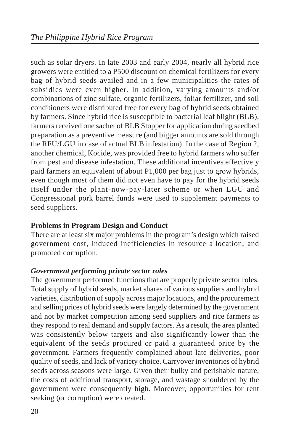such as solar dryers. In late 2003 and early 2004, nearly all hybrid rice growers were entitled to a P500 discount on chemical fertilizers for every bag of hybrid seeds availed and in a few municipalities the rates of subsidies were even higher. In addition, varying amounts and/or combinations of zinc sulfate, organic fertilizers, foliar fertilizer, and soil conditioners were distributed free for every bag of hybrid seeds obtained by farmers. Since hybrid rice is susceptible to bacterial leaf blight (BLB), farmers received one sachet of BLB Stopper for application during seedbed preparation as a preventive measure (and bigger amounts are sold through the RFU/LGU in case of actual BLB infestation). In the case of Region 2, another chemical, Kocide, was provided free to hybrid farmers who suffer from pest and disease infestation. These additional incentives effectively paid farmers an equivalent of about P1,000 per bag just to grow hybrids, even though most of them did not even have to pay for the hybrid seeds itself under the plant-now-pay-later scheme or when LGU and Congressional pork barrel funds were used to supplement payments to seed suppliers.

## **Problems in Program Design and Conduct**

There are at least six major problems in the program's design which raised government cost, induced inefficiencies in resource allocation, and promoted corruption.

## *Government performing private sector roles*

The government performed functions that are properly private sector roles. Total supply of hybrid seeds, market shares of various suppliers and hybrid varieties, distribution of supply across major locations, and the procurement and selling prices of hybrid seeds were largely determined by the government and not by market competition among seed suppliers and rice farmers as they respond to real demand and supply factors. As a result, the area planted was consistently below targets and also significantly lower than the equivalent of the seeds procured or paid a guaranteed price by the government. Farmers frequently complained about late deliveries, poor quality of seeds, and lack of variety choice. Carryover inventories of hybrid seeds across seasons were large. Given their bulky and perishable nature, the costs of additional transport, storage, and wastage shouldered by the government were consequently high. Moreover, opportunities for rent seeking (or corruption) were created.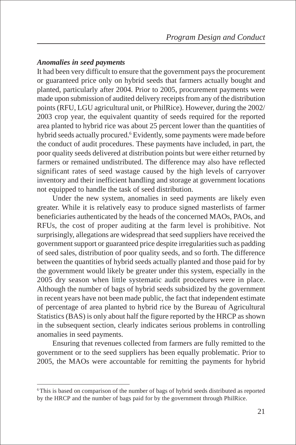# *Anomalies in seed payments*

It had been very difficult to ensure that the government pays the procurement or guaranteed price only on hybrid seeds that farmers actually bought and planted, particularly after 2004. Prior to 2005, procurement payments were made upon submission of audited delivery receipts from any of the distribution points (RFU, LGU agricultural unit, or PhilRice). However, during the 2002/ 2003 crop year, the equivalent quantity of seeds required for the reported area planted to hybrid rice was about 25 percent lower than the quantities of hybrid seeds actually procured.<sup>6</sup> Evidently, some payments were made before the conduct of audit procedures. These payments have included, in part, the poor quality seeds delivered at distribution points but were either returned by farmers or remained undistributed. The difference may also have reflected significant rates of seed wastage caused by the high levels of carryover inventory and their inefficient handling and storage at government locations not equipped to handle the task of seed distribution.

Under the new system, anomalies in seed payments are likely even greater. While it is relatively easy to produce signed masterlists of farmer beneficiaries authenticated by the heads of the concerned MAOs, PAOs, and RFUs, the cost of proper auditing at the farm level is prohibitive. Not surprisingly, allegations are widespread that seed suppliers have received the government support or guaranteed price despite irregularities such as padding of seed sales, distribution of poor quality seeds, and so forth. The difference between the quantities of hybrid seeds actually planted and those paid for by the government would likely be greater under this system, especially in the 2005 dry season when little systematic audit procedures were in place. Although the number of bags of hybrid seeds subsidized by the government in recent years have not been made public, the fact that independent estimate of percentage of area planted to hybrid rice by the Bureau of Agricultural Statistics (BAS) is only about half the figure reported by the HRCP as shown in the subsequent section, clearly indicates serious problems in controlling anomalies in seed payments.

Ensuring that revenues collected from farmers are fully remitted to the government or to the seed suppliers has been equally problematic. Prior to 2005, the MAOs were accountable for remitting the payments for hybrid

<sup>6</sup> This is based on comparison of the number of bags of hybrid seeds distributed as reported by the HRCP and the number of bags paid for by the government through PhilRice.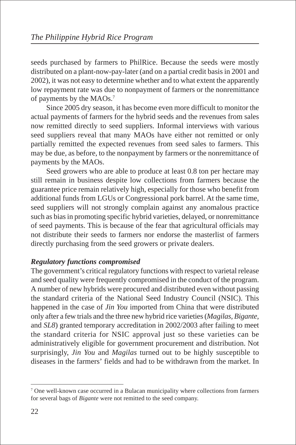seeds purchased by farmers to PhilRice. Because the seeds were mostly distributed on a plant-now-pay-later (and on a partial credit basis in 2001 and 2002), it was not easy to determine whether and to what extent the apparently low repayment rate was due to nonpayment of farmers or the nonremittance of payments by the MAOs.7

Since 2005 dry season, it has become even more difficult to monitor the actual payments of farmers for the hybrid seeds and the revenues from sales now remitted directly to seed suppliers. Informal interviews with various seed suppliers reveal that many MAOs have either not remitted or only partially remitted the expected revenues from seed sales to farmers. This may be due, as before, to the nonpayment by farmers or the nonremittance of payments by the MAOs.

Seed growers who are able to produce at least 0.8 ton per hectare may still remain in business despite low collections from farmers because the guarantee price remain relatively high, especially for those who benefit from additional funds from LGUs or Congressional pork barrel. At the same time, seed suppliers will not strongly complain against any anomalous practice such as bias in promoting specific hybrid varieties, delayed, or nonremittance of seed payments. This is because of the fear that agricultural officials may not distribute their seeds to farmers nor endorse the masterlist of farmers directly purchasing from the seed growers or private dealers.

# *Regulatory functions compromised*

The government's critical regulatory functions with respect to varietal release and seed quality were frequently compromised in the conduct of the program. A number of new hybrids were procured and distributed even without passing the standard criteria of the National Seed Industry Council (NSIC). This happened in the case of *Jin You* imported from China that were distributed only after a few trials and the three new hybrid rice varieties (*Magilas, Bigante,* and *SL8*) granted temporary accreditation in 2002/2003 after failing to meet the standard criteria for NSIC approval just so these varieties can be administratively eligible for government procurement and distribution. Not surprisingly, *Jin You* and *Magilas* turned out to be highly susceptible to diseases in the farmers' fields and had to be withdrawn from the market. In

<sup>&</sup>lt;sup>7</sup> One well-known case occurred in a Bulacan municipality where collections from farmers for several bags of *Bigante* were not remitted to the seed company.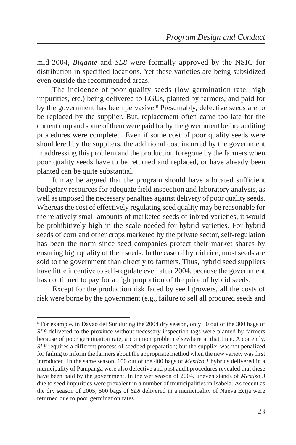mid-2004, *Bigante* and *SL8* were formally approved by the NSIC for distribution in specified locations. Yet these varieties are being subsidized even outside the recommended areas.

The incidence of poor quality seeds (low germination rate, high impurities, etc.) being delivered to LGUs, planted by farmers, and paid for by the government has been pervasive.<sup>8</sup> Presumably, defective seeds are to be replaced by the supplier. But, replacement often came too late for the current crop and some of them were paid for by the government before auditing procedures were completed. Even if some cost of poor quality seeds were shouldered by the suppliers, the additional cost incurred by the government in addressing this problem and the production foregone by the farmers when poor quality seeds have to be returned and replaced, or have already been planted can be quite substantial.

It may be argued that the program should have allocated sufficient budgetary resources for adequate field inspection and laboratory analysis, as well as imposed the necessary penalties against delivery of poor quality seeds. Whereas the cost of effectively regulating seed quality may be reasonable for the relatively small amounts of marketed seeds of inbred varieties, it would be prohibitively high in the scale needed for hybrid varieties. For hybrid seeds of corn and other crops marketed by the private sector, self-regulation has been the norm since seed companies protect their market shares by ensuring high quality of their seeds. In the case of hybrid rice, most seeds are sold to the government than directly to farmers. Thus, hybrid seed suppliers have little incentive to self-regulate even after 2004, because the government has continued to pay for a high proportion of the price of hybrid seeds.

Except for the production risk faced by seed growers, all the costs of risk were borne by the government (e.g., failure to sell all procured seeds and

<sup>8</sup> For example, in Davao del Sur during the 2004 dry season, only 50 out of the 300 bags of *SL8* delivered to the province without necessary inspection tags were planted by farmers because of poor germination rate, a common problem elsewhere at that time. Apparently, *SL8* requires a different process of seedbed preparation; but the supplier was not penalized for failing to inform the farmers about the appropriate method when the new variety was first introduced. In the same season, 100 out of the 400 bags of *Mestizo 1* hybrids delivered in a municipality of Pampanga were also defective and post audit procedures revealed that these have been paid by the government. In the wet season of 2004, uneven stands of *Mestizo 3* due to seed impurities were prevalent in a number of municipalities in Isabela. As recent as the dry season of 2005, 500 bags of *SL8* delivered in a municipality of Nueva Ecija were returned due to poor germination rates.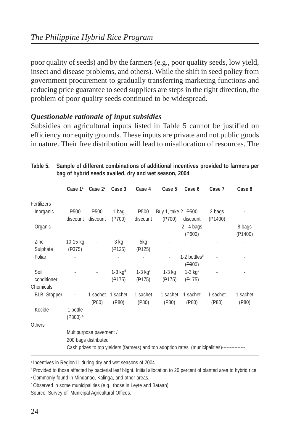poor quality of seeds) and by the farmers (e.g., poor quality seeds, low yield, insect and disease problems, and others). While the shift in seed policy from government procurement to gradually transferring marketing functions and reducing price guarantee to seed suppliers are steps in the right direction, the problem of poor quality seeds continued to be widespread.

# *Questionable rationale of input subsidies*

Subsidies on agricultural inputs listed in Table 5 cannot be justified on efficiency nor equity grounds. These inputs are private and not public goods in nature. Their free distribution will lead to misallocation of resources. The

|                    | Case 1ª          | Case $2^c$              | Case 3                | Case 4           | Case 5             | Case 6                                                                                       | Case 7   | Case 8   |
|--------------------|------------------|-------------------------|-----------------------|------------------|--------------------|----------------------------------------------------------------------------------------------|----------|----------|
| Fertilizers        |                  |                         |                       |                  |                    |                                                                                              |          |          |
| Inorganic          | P <sub>500</sub> | P <sub>500</sub>        | 1 bag                 | P <sub>500</sub> | Buy 1, take 2 P500 |                                                                                              | 2 bags   |          |
|                    | discount         | discount                | (P700)                | discount         | (P700)             | discount                                                                                     | (P1400)  |          |
| Organic            |                  |                         |                       |                  |                    | $2 - 4$ bags                                                                                 |          | 8 bags   |
|                    |                  |                         |                       |                  |                    | ( P600)                                                                                      |          | (P1400)  |
| Zinc               | 10-15 kg         | $\blacksquare$          | 3 kg                  | 5kg              |                    |                                                                                              |          |          |
| Sulphate           | (P375)           |                         | (P125)                | (P125)           |                    |                                                                                              |          |          |
| Foliar             |                  |                         |                       |                  |                    | $1-2$ bottles <sup>d</sup>                                                                   |          |          |
|                    |                  |                         |                       |                  |                    | (P900)                                                                                       |          |          |
| Soil               |                  |                         | $1-3$ kg <sup>d</sup> | $1-3$ kg $c$     | $1-3$ kg           | $1-3$ kg $c$                                                                                 |          |          |
| conditioner        |                  |                         | (P175)                | (P175)           | (P175)             | (P175)                                                                                       |          |          |
| Chemicals          |                  |                         |                       |                  |                    |                                                                                              |          |          |
| <b>BLB</b> Stopper |                  | 1 sachet                | 1 sachet              | 1 sachet         | 1 sachet           | 1 sachet                                                                                     | 1 sachet | 1 sachet |
|                    |                  | (P80)                   | (P80)                 | (P80)            | (P80)              | (P80)                                                                                        | (P80)    | (P80)    |
| Kocide             | 1 bottle         |                         |                       |                  |                    |                                                                                              |          |          |
|                    | (P300) b         |                         |                       |                  |                    |                                                                                              |          |          |
| <b>Others</b>      |                  |                         |                       |                  |                    |                                                                                              |          |          |
|                    |                  | Multipurpose pavement / |                       |                  |                    |                                                                                              |          |          |
|                    |                  | 200 bags distributed    |                       |                  |                    |                                                                                              |          |          |
|                    |                  |                         |                       |                  |                    | Cash prizes to top yielders (farmers) and top adoption rates (municipalities)--------------- |          |          |

**Table 5. Sample of different combinations of additional incentives provided to farmers per bag of hybrid seeds availed, dry and wet season, 2004**

a Incentives in Region II during dry and wet seasons of 2004.

**b Provided to those affected by bacterial leaf blight. Initial allocation to 20 percent of planted area to hybrid rice.** 

<sup>c</sup> Commonly found in Mindanao, Kalinga, and other areas.

<sup>d</sup> Observed in some municipalities (e.g., those in Leyte and Bataan).

Source: Survey of Municipal Agricultural Offices.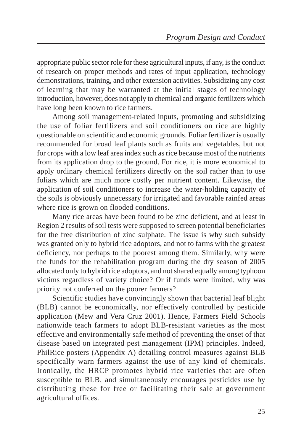appropriate public sector role for these agricultural inputs, if any, is the conduct of research on proper methods and rates of input application, technology demonstrations, training, and other extension activities. Subsidizing any cost of learning that may be warranted at the initial stages of technology introduction, however, does not apply to chemical and organic fertilizers which have long been known to rice farmers.

Among soil management-related inputs, promoting and subsidizing the use of foliar fertilizers and soil conditioners on rice are highly questionable on scientific and economic grounds. Foliar fertilizer is usually recommended for broad leaf plants such as fruits and vegetables, but not for crops with a low leaf area index such as rice because most of the nutrients from its application drop to the ground. For rice, it is more economical to apply ordinary chemical fertilizers directly on the soil rather than to use foliars which are much more costly per nutrient content. Likewise, the application of soil conditioners to increase the water-holding capacity of the soils is obviously unnecessary for irrigated and favorable rainfed areas where rice is grown on flooded conditions.

Many rice areas have been found to be zinc deficient, and at least in Region 2 results of soil tests were supposed to screen potential beneficiaries for the free distribution of zinc sulphate. The issue is why such subsidy was granted only to hybrid rice adoptors, and not to farms with the greatest deficiency, nor perhaps to the poorest among them. Similarly, why were the funds for the rehabilitation program during the dry season of 2005 allocated only to hybrid rice adoptors, and not shared equally among typhoon victims regardless of variety choice? Or if funds were limited, why was priority not conferred on the poorer farmers?

Scientific studies have convincingly shown that bacterial leaf blight (BLB) cannot be economically, nor effectively controlled by pesticide application (Mew and Vera Cruz 2001). Hence, Farmers Field Schools nationwide teach farmers to adopt BLB-resistant varieties as the most effective and environmentally safe method of preventing the onset of that disease based on integrated pest management (IPM) principles. Indeed, PhilRice posters (Appendix A) detailing control measures against BLB specifically warn farmers against the use of any kind of chemicals. Ironically, the HRCP promotes hybrid rice varieties that are often susceptible to BLB, and simultaneously encourages pesticides use by distributing these for free or facilitating their sale at government agricultural offices.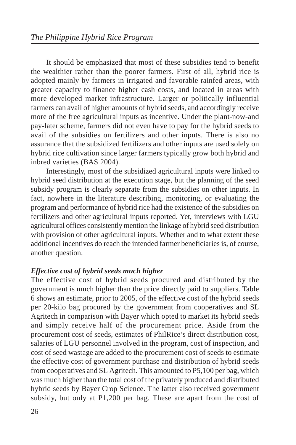It should be emphasized that most of these subsidies tend to benefit the wealthier rather than the poorer farmers. First of all, hybrid rice is adopted mainly by farmers in irrigated and favorable rainfed areas, with greater capacity to finance higher cash costs, and located in areas with more developed market infrastructure. Larger or politically influential farmers can avail of higher amounts of hybrid seeds, and accordingly receive more of the free agricultural inputs as incentive. Under the plant-now-and pay-later scheme, farmers did not even have to pay for the hybrid seeds to avail of the subsidies on fertilizers and other inputs. There is also no assurance that the subsidized fertilizers and other inputs are used solely on hybrid rice cultivation since larger farmers typically grow both hybrid and inbred varieties (BAS 2004).

Interestingly, most of the subsidized agricultural inputs were linked to hybrid seed distribution at the execution stage, but the planning of the seed subsidy program is clearly separate from the subsidies on other inputs. In fact, nowhere in the literature describing, monitoring, or evaluating the program and performance of hybrid rice had the existence of the subsidies on fertilizers and other agricultural inputs reported. Yet, interviews with LGU agricultural offices consistently mention the linkage of hybrid seed distribution with provision of other agricultural inputs. Whether and to what extent these additional incentives do reach the intended farmer beneficiaries is, of course, another question.

## *Effective cost of hybrid seeds much higher*

The effective cost of hybrid seeds procured and distributed by the government is much higher than the price directly paid to suppliers. Table 6 shows an estimate, prior to 2005, of the effective cost of the hybrid seeds per 20-kilo bag procured by the government from cooperatives and SL Agritech in comparison with Bayer which opted to market its hybrid seeds and simply receive half of the procurement price. Aside from the procurement cost of seeds, estimates of PhilRice's direct distribution cost, salaries of LGU personnel involved in the program, cost of inspection, and cost of seed wastage are added to the procurement cost of seeds to estimate the effective cost of government purchase and distribution of hybrid seeds from cooperatives and SL Agritech. This amounted to P5,100 per bag, which was much higher than the total cost of the privately produced and distributed hybrid seeds by Bayer Crop Science. The latter also received government subsidy, but only at P1,200 per bag. These are apart from the cost of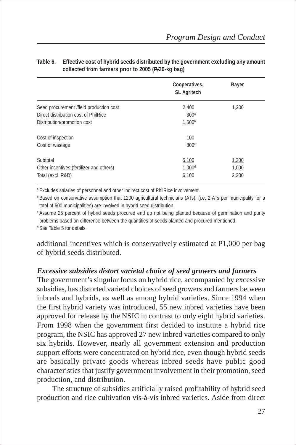|                                          | Cooperatives,<br><b>SL Agritech</b> | <b>Bayer</b> |
|------------------------------------------|-------------------------------------|--------------|
| Seed procurement /field production cost  | 2.400                               | 1,200        |
| Direct distribution cost of PhilRice     | 300 <sup>a</sup>                    |              |
| Distribution/promotion cost              | 1.500 <sup>b</sup>                  |              |
| Cost of inspection                       | 100                                 |              |
| Cost of wastage                          | 800 <sup>c</sup>                    |              |
| Subtotal                                 | 5,100                               | 1,200        |
| Other incentives (fertilizer and others) | 1.000 <sup>d</sup>                  | 1.000        |
| Total (excl R&D)                         | 6,100                               | 2,200        |

#### **Table 6. Effective cost of hybrid seeds distributed by the government excluding any amount collected from farmers prior to 2005 (P/20-kg bag)**

<sup>a</sup> Excludes salaries of personnel and other indirect cost of PhilRice involvement.

**b** Based on conservative assumption that 1200 agricultural technicians (ATs), (i.e, 2 ATs per municipality for a total of 600 municipalities) are involved in hybrid seed distribution.

<sup>c</sup> Assume 25 percent of hybrid seeds procured end up not being planted because of germination and purity problems based on difference between the quantities of seeds planted and procured mentioned.

<sup>d</sup> See Table 5 for details.

additional incentives which is conservatively estimated at P1,000 per bag of hybrid seeds distributed.

## *Excessive subsidies distort varietal choice of seed growers and farmers*

The government's singular focus on hybrid rice, accompanied by excessive subsidies, has distorted varietal choices of seed growers and farmers between inbreds and hybrids, as well as among hybrid varieties. Since 1994 when the first hybrid variety was introduced, 55 new inbred varieties have been approved for release by the NSIC in contrast to only eight hybrid varieties. From 1998 when the government first decided to institute a hybrid rice program, the NSIC has approved 27 new inbred varieties compared to only six hybrids. However, nearly all government extension and production support efforts were concentrated on hybrid rice, even though hybrid seeds are basically private goods whereas inbred seeds have public good characteristics that justify government involvement in their promotion, seed production, and distribution.

The structure of subsidies artificially raised profitability of hybrid seed production and rice cultivation vis-à-vis inbred varieties. Aside from direct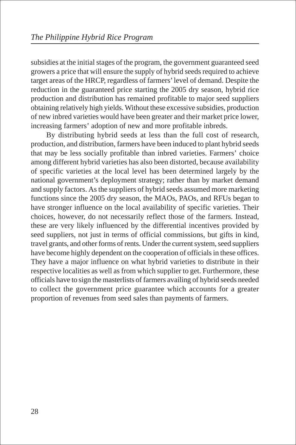subsidies at the initial stages of the program, the government guaranteed seed growers a price that will ensure the supply of hybrid seeds required to achieve target areas of the HRCP, regardless of farmers' level of demand. Despite the reduction in the guaranteed price starting the 2005 dry season, hybrid rice production and distribution has remained profitable to major seed suppliers obtaining relatively high yields. Without these excessive subsidies, production of new inbred varieties would have been greater and their market price lower, increasing farmers' adoption of new and more profitable inbreds.

By distributing hybrid seeds at less than the full cost of research, production, and distribution, farmers have been induced to plant hybrid seeds that may be less socially profitable than inbred varieties. Farmers' choice among different hybrid varieties has also been distorted, because availability of specific varieties at the local level has been determined largely by the national government's deployment strategy; rather than by market demand and supply factors. As the suppliers of hybrid seeds assumed more marketing functions since the 2005 dry season, the MAOs, PAOs, and RFUs began to have stronger influence on the local availability of specific varieties. Their choices, however, do not necessarily reflect those of the farmers. Instead, these are very likely influenced by the differential incentives provided by seed suppliers, not just in terms of official commissions, but gifts in kind, travel grants, and other forms of rents. Under the current system, seed suppliers have become highly dependent on the cooperation of officials in these offices. They have a major influence on what hybrid varieties to distribute in their respective localities as well as from which supplier to get. Furthermore, these officials have to sign the masterlists of farmers availing of hybrid seeds needed to collect the government price guarantee which accounts for a greater proportion of revenues from seed sales than payments of farmers.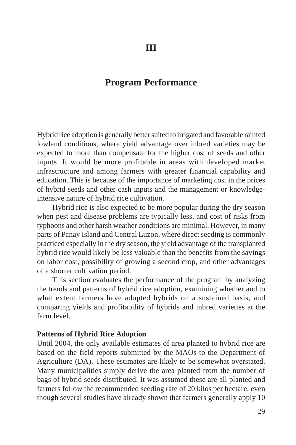# **Program Performance**

Hybrid rice adoption is generally better suited to irrigated and favorable rainfed lowland conditions, where yield advantage over inbred varieties may be expected to more than compensate for the higher cost of seeds and other inputs. It would be more profitable in areas with developed market infrastructure and among farmers with greater financial capability and education. This is because of the importance of marketing cost in the prices of hybrid seeds and other cash inputs and the management or knowledgeintensive nature of hybrid rice cultivation.

Hybrid rice is also expected to be more popular during the dry season when pest and disease problems are typically less, and cost of risks from typhoons and other harsh weather conditions are minimal. However, in many parts of Panay Island and Central Luzon, where direct seeding is commonly practiced especially in the dry season, the yield advantage of the transplanted hybrid rice would likely be less valuable than the benefits from the savings on labor cost, possibility of growing a second crop, and other advantages of a shorter cultivation period.

This section evaluates the performance of the program by analyzing the trends and patterns of hybrid rice adoption, examining whether and to what extent farmers have adopted hybrids on a sustained basis, and comparing yields and profitability of hybrids and inbred varieties at the farm level.

#### **Patterns of Hybrid Rice Adoption**

Until 2004, the only available estimates of area planted to hybrid rice are based on the field reports submitted by the MAOs to the Department of Agriculture (DA). These estimates are likely to be somewhat overstated. Many municipalities simply derive the area planted from the number of bags of hybrid seeds distributed. It was assumed these are all planted and farmers follow the recommended seeding rate of 20 kilos per hectare, even though several studies have already shown that farmers generally apply 10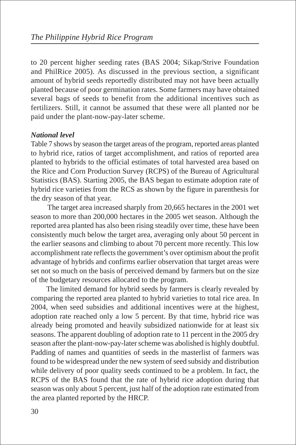to 20 percent higher seeding rates (BAS 2004; Sikap/Strive Foundation and PhilRice 2005). As discussed in the previous section, a significant amount of hybrid seeds reportedly distributed may not have been actually planted because of poor germination rates. Some farmers may have obtained several bags of seeds to benefit from the additional incentives such as fertilizers. Still, it cannot be assumed that these were all planted nor be paid under the plant-now-pay-later scheme.

# *National level*

Table 7 shows by season the target areas of the program, reported areas planted to hybrid rice, ratios of target accomplishment, and ratios of reported area planted to hybrids to the official estimates of total harvested area based on the Rice and Corn Production Survey (RCPS) of the Bureau of Agricultural Statistics (BAS). Starting 2005, the BAS began to estimate adoption rate of hybrid rice varieties from the RCS as shown by the figure in parenthesis for the dry season of that year.

 The target area increased sharply from 20,665 hectares in the 2001 wet season to more than 200,000 hectares in the 2005 wet season. Although the reported area planted has also been rising steadily over time, these have been consistently much below the target area, averaging only about 50 percent in the earlier seasons and climbing to about 70 percent more recently. This low accomplishment rate reflects the government's over optimism about the profit advantage of hybrids and confirms earlier observation that target areas were set not so much on the basis of perceived demand by farmers but on the size of the budgetary resources allocated to the program.

The limited demand for hybrid seeds by farmers is clearly revealed by comparing the reported area planted to hybrid varieties to total rice area. In 2004, when seed subsidies and additional incentives were at the highest, adoption rate reached only a low 5 percent. By that time, hybrid rice was already being promoted and heavily subsidized nationwide for at least six seasons. The apparent doubling of adoption rate to 11 percent in the 2005 dry season after the plant-now-pay-later scheme was abolished is highly doubtful. Padding of names and quantities of seeds in the masterlist of farmers was found to be widespread under the new system of seed subsidy and distribution while delivery of poor quality seeds continued to be a problem. In fact, the RCPS of the BAS found that the rate of hybrid rice adoption during that season was only about 5 percent, just half of the adoption rate estimated from the area planted reported by the HRCP.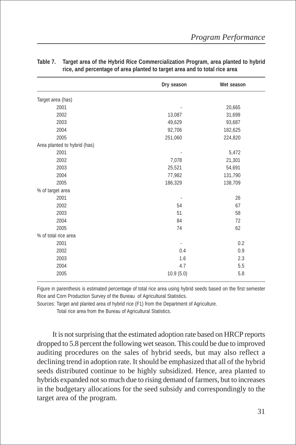|                              | Dry season               | Wet season |
|------------------------------|--------------------------|------------|
| Target area (has)            |                          |            |
| 2001                         |                          | 20,665     |
| 2002                         | 13,087                   | 31,699     |
| 2003                         | 49,629                   | 93,687     |
| 2004                         | 92,706                   | 182,625    |
| 2005                         | 251,060                  | 224,820    |
| Area planted to hybrid (has) |                          |            |
| 2001                         |                          | 5,472      |
| 2002                         | 7,078                    | 21,301     |
| 2003                         | 25,521                   | 54,691     |
| 2004                         | 77,982                   | 131,790    |
| 2005                         | 186,329                  | 138,709    |
| % of target area             |                          |            |
| 2001                         |                          | 26         |
| 2002                         | 54                       | 67         |
| 2003                         | 51                       | 58         |
| 2004                         | 84                       | 72         |
| 2005                         | 74                       | 62         |
| % of total rice area         |                          |            |
| 2001                         | $\overline{\phantom{a}}$ | 0.2        |
| 2002                         | 0.4                      | 0.9        |
| 2003                         | 1.6                      | 2.3        |
| 2004                         | 4.7                      | 5.5        |
| 2005                         | 10.9(5.0)                | 5.8        |

#### **Table 7. Target area of the Hybrid Rice Commercialization Program, area planted to hybrid rice, and percentage of area planted to target area and to total rice area**

Figure in parenthesis is estimated percentage of total rice area using hybrid seeds based on the first semester Rice and Corn Production Survey of the Bureau of Agricultural Statistics.

Sources: Target and planted area of hybrid rice (F1) from the Department of Agriculture.

Total rice area from the Bureau of Agricultural Statistics.

It is not surprising that the estimated adoption rate based on HRCP reports dropped to 5.8 percent the following wet season. This could be due to improved auditing procedures on the sales of hybrid seeds, but may also reflect a declining trend in adoption rate. It should be emphasized that all of the hybrid seeds distributed continue to be highly subsidized. Hence, area planted to hybrids expanded not so much due to rising demand of farmers, but to increases in the budgetary allocations for the seed subsidy and correspondingly to the target area of the program.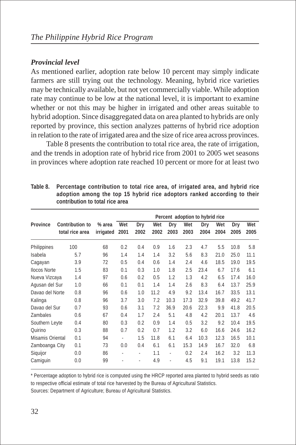# *Provincial level*

As mentioned earlier, adoption rate below 10 percent may simply indicate farmers are still trying out the technology. Meaning, hybrid rice varieties may be technically available, but not yet commercially viable. While adoption rate may continue to be low at the national level, it is important to examine whether or not this may be higher in irrigated and other areas suitable to hybrid adoption. Since disaggregated data on area planted to hybrids are only reported by province, this section analyzes patterns of hybrid rice adoption in relation to the rate of irrigated area and the size of rice area across provinces.

Table 8 presents the contribution to total rice area, the rate of irrigation, and the trends in adoption rate of hybrid rice from 2001 to 2005 wet seasons in provinces where adoption rate reached 10 percent or more for at least two

|                     |                                    |                     |                          |             |             |                |             | Percent adoption to hybrid rice |             |             |             |
|---------------------|------------------------------------|---------------------|--------------------------|-------------|-------------|----------------|-------------|---------------------------------|-------------|-------------|-------------|
| <b>Province</b>     | Contribution to<br>total rice area | % area<br>irrigated | Wet<br>2001              | Dry<br>2002 | Wet<br>2002 | Dry<br>2003    | Wet<br>2003 | Dry<br>2004                     | Wet<br>2004 | Dry<br>2005 | Wet<br>2005 |
| Philippines         | 100                                | 68                  | 0.2                      | 0.4         | 0.9         | 1.6            | 2.3         | 4.7                             | 5.5         | 10.8        | 5.8         |
| Isabela             | 5.7                                | 96                  | 1.4                      | 1.4         | 1.4         | 3.2            | 5.6         | 8.3                             | 21.0        | 25.0        | 11.1        |
| Cagayan             | 3.9                                | 72                  | 0.5                      | 0.4         | 0.6         | 1.4            | 2.4         | 4.6                             | 18.5        | 19.0        | 19.5        |
| <b>Ilocos Norte</b> | 1.5                                | 83                  | 0.1                      | 0.3         | 1.0         | 1.8            | 2.5         | 23.4                            | 6.7         | 17.6        | 6.1         |
| Nueva Vizcaya       | 1.4                                | 97                  | 0.6                      | 0.2         | 0.5         | 1.2            | 1.3         | 4.2                             | 6.5         | 17.4        | 16.0        |
| Agusan del Sur      | 1.0                                | 66                  | 0.1                      | 0.1         | 1.4         | 1.4            | 2.6         | 8.3                             | 6.4         | 13.7        | 25.9        |
| Davao del Norte     | 0.8                                | 96                  | 0.6                      | 1.0         | 11.2        | 4.9            | 9.2         | 13.4                            | 16.7        | 33.5        | 13.1        |
| Kalinga             | 0.8                                | 96                  | 3.7                      | 3.0         | 7.2         | 10.3           | 17.3        | 32.9                            | 39.8        | 49.2        | 41.7        |
| Davao del Sur       | 0.7                                | 93                  | 0.6                      | 3.1         | 7.2         | 36.9           | 20.6        | 22.3                            | 9.9         | 41.8        | 20.5        |
| <b>Zambales</b>     | 0.6                                | 67                  | 0.4                      | 1.7         | 2.4         | 5.1            | 4.8         | 4.2                             | 20.1        | 13.7        | 4.6         |
| Southern Leyte      | 0.4                                | 80                  | 0.3                      | 0.2         | 0.9         | 1.4            | 0.5         | 3.2                             | 9.2         | 10.4        | 19.5        |
| Quirino             | 0.3                                | 88                  | 0.7                      | 0.2         | 0.7         | 1.2            | 3.2         | 6.0                             | 16.6        | 24.6        | 16.2        |
| Misamis Oriental    | 0.1                                | 94                  | $\overline{\phantom{a}}$ | 1.5         | 11.8        | 6.1            | 6.4         | 10.3                            | 12.3        | 16.5        | 10.1        |
| Zamboanga City      | 0.1                                | 73                  | 0.0                      | 0.4         | 6.1         | 6.1            | 15.3        | 14.9                            | 16.7        | 32.0        | 6.8         |
| Siquijor            | 0.0                                | 86                  | ٠                        | ٠           | 1.1         | $\blacksquare$ | 0.2         | 2.4                             | 16.2        | 3.2         | 11.3        |
| Camiguin            | 0.0                                | 99                  |                          |             | 4.9         | ä,             | 4.5         | 9.1                             | 19.1        | 13.8        | 15.2        |

**Table 8. Percentage contribution to total rice area, of irrigated area, and hybrid rice adoption among the top 15 hybrid rice adoptors ranked according to their contribution to total rice area**

\* Percentage adoption to hybrid rice is computed using the HRCP reported area planted to hybrid seeds as ratio to respective official estimate of total rice harvested by the Bureau of Agricultural Statistics.

Sources: Department of Agriculture; Bureau of Agricultural Statistics.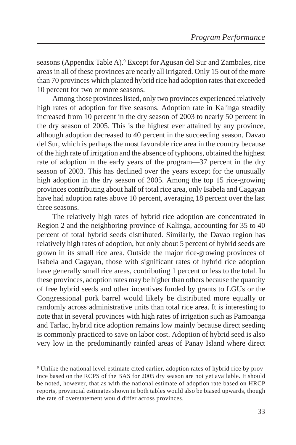seasons (Appendix Table A).<sup>9</sup> Except for Agusan del Sur and Zambales, rice areas in all of these provinces are nearly all irrigated. Only 15 out of the more than 70 provinces which planted hybrid rice had adoption rates that exceeded 10 percent for two or more seasons.

Among those provinces listed, only two provinces experienced relatively high rates of adoption for five seasons. Adoption rate in Kalinga steadily increased from 10 percent in the dry season of 2003 to nearly 50 percent in the dry season of 2005. This is the highest ever attained by any province, although adoption decreased to 40 percent in the succeeding season. Davao del Sur, which is perhaps the most favorable rice area in the country because of the high rate of irrigation and the absence of typhoons, obtained the highest rate of adoption in the early years of the program—37 percent in the dry season of 2003. This has declined over the years except for the unusually high adoption in the dry season of 2005. Among the top 15 rice-growing provinces contributing about half of total rice area, only Isabela and Cagayan have had adoption rates above 10 percent, averaging 18 percent over the last three seasons.

The relatively high rates of hybrid rice adoption are concentrated in Region 2 and the neighboring province of Kalinga, accounting for 35 to 40 percent of total hybrid seeds distributed. Similarly, the Davao region has relatively high rates of adoption, but only about 5 percent of hybrid seeds are grown in its small rice area. Outside the major rice-growing provinces of Isabela and Cagayan, those with significant rates of hybrid rice adoption have generally small rice areas, contributing 1 percent or less to the total. In these provinces, adoption rates may be higher than others because the quantity of free hybrid seeds and other incentives funded by grants to LGUs or the Congressional pork barrel would likely be distributed more equally or randomly across administrative units than total rice area. It is interesting to note that in several provinces with high rates of irrigation such as Pampanga and Tarlac, hybrid rice adoption remains low mainly because direct seeding is commonly practiced to save on labor cost. Adoption of hybrid seed is also very low in the predominantly rainfed areas of Panay Island where direct

<sup>9</sup> Unlike the national level estimate cited earlier, adoption rates of hybrid rice by province based on the RCPS of the BAS for 2005 dry season are not yet available. It should be noted, however, that as with the national estimate of adoption rate based on HRCP reports, provincial estimates shown in both tables would also be biased upwards, though the rate of overstatement would differ across provinces.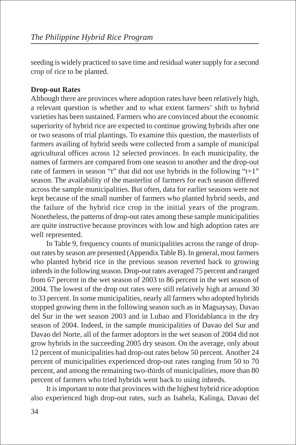seeding is widely practiced to save time and residual water supply for a second crop of rice to be planted.

# **Drop-out Rates**

Although there are provinces where adoption rates have been relatively high, a relevant question is whether and to what extent farmers' shift to hybrid varieties has been sustained. Farmers who are convinced about the economic superiority of hybrid rice are expected to continue growing hybrids after one or two seasons of trial plantings. To examine this question, the masterlists of farmers availing of hybrid seeds were collected from a sample of municipal agricultural offices across 12 selected provinces. In each municipality, the names of farmers are compared from one season to another and the drop-out rate of farmers in season "t" that did not use hybrids in the following "t+1" season. The availability of the masterlist of farmers for each season differed across the sample municipalities. But often, data for earlier seasons were not kept because of the small number of farmers who planted hybrid seeds, and the failure of the hybrid rice crop in the initial years of the program. Nonetheless, the patterns of drop-out rates among these sample municipalities are quite instructive because provinces with low and high adoption rates are well represented.

In Table 9, frequency counts of municipalities across the range of dropout rates by season are presented (Appendix Table B). In general, most farmers who planted hybrid rice in the previous season reverted back to growing inbreds in the following season. Drop-out rates averaged 75 percent and ranged from 67 percent in the wet season of 2003 to 86 percent in the wet season of 2004. The lowest of the drop out rates were still relatively high at around 30 to 33 percent. In some municipalities, nearly all farmers who adopted hybrids stopped growing them in the following season such as in Magsaysay, Davao del Sur in the wet season 2003 and in Lubao and Floridablanca in the dry season of 2004. Indeed, in the sample municipalities of Davao del Sur and Davao del Norte, all of the farmer adoptors in the wet season of 2004 did not grow hybrids in the succeeding 2005 dry season. On the average, only about 12 percent of municipalities had drop-out rates below 50 percent. Another 24 percent of municipalities experienced drop-out rates ranging from 50 to 70 percent, and among the remaining two-thirds of municipalities, more than 80 percent of farmers who tried hybrids went back to using inbreds.

It is important to note that provinces with the highest hybrid rice adoption also experienced high drop-out rates, such as Isabela, Kalinga, Davao del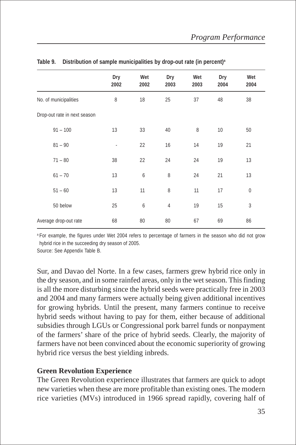|                              | Dry<br>2002 | Wet<br>2002 | Dry<br>2003    | Wet<br>2003 | Dry<br>2004 | Wet<br>2004 |
|------------------------------|-------------|-------------|----------------|-------------|-------------|-------------|
| No. of municipalities        | 8           | 18          | 25             | 37          | 48          | 38          |
| Drop-out rate in next season |             |             |                |             |             |             |
| $91 - 100$                   | 13          | 33          | 40             | 8           | 10          | 50          |
| $81 - 90$                    |             | 22          | 16             | 14          | 19          | 21          |
| $71 - 80$                    | 38          | 22          | 24             | 24          | 19          | 13          |
| $61 - 70$                    | 13          | 6           | 8              | 24          | 21          | 13          |
| $51 - 60$                    | 13          | 11          | 8              | 11          | 17          | $\mathbf 0$ |
| 50 below                     | 25          | 6           | $\overline{4}$ | 19          | 15          | 3           |
| Average drop-out rate        | 68          | 80          | 80             | 67          | 69          | 86          |

#### Table 9. Distribution of sample municipalities by drop-out rate (in percent)<sup>a</sup>

<sup>a</sup> For example, the figures under Wet 2004 refers to percentage of farmers in the season who did not grow hybrid rice in the succeeding dry season of 2005.

Source: See Appendix Table B.

Sur, and Davao del Norte. In a few cases, farmers grew hybrid rice only in the dry season, and in some rainfed areas, only in the wet season. This finding is all the more disturbing since the hybrid seeds were practically free in 2003 and 2004 and many farmers were actually being given additional incentives for growing hybrids. Until the present, many farmers continue to receive hybrid seeds without having to pay for them, either because of additional subsidies through LGUs or Congressional pork barrel funds or nonpayment of the farmers' share of the price of hybrid seeds. Clearly, the majority of farmers have not been convinced about the economic superiority of growing hybrid rice versus the best yielding inbreds.

## **Green Revolution Experience**

The Green Revolution experience illustrates that farmers are quick to adopt new varieties when these are more profitable than existing ones. The modern rice varieties (MVs) introduced in 1966 spread rapidly, covering half of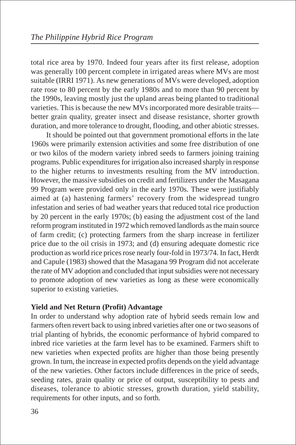total rice area by 1970. Indeed four years after its first release, adoption was generally 100 percent complete in irrigated areas where MVs are most suitable (IRRI 1971). As new generations of MVs were developed, adoption rate rose to 80 percent by the early 1980s and to more than 90 percent by the 1990s, leaving mostly just the upland areas being planted to traditional varieties. This is because the new MVs incorporated more desirable traits better grain quality, greater insect and disease resistance, shorter growth duration, and more tolerance to drought, flooding, and other abiotic stresses.

It should be pointed out that government promotional efforts in the late 1960s were primarily extension activities and some free distribution of one or two kilos of the modern variety inbred seeds to farmers joining training programs. Public expenditures for irrigation also increased sharply in response to the higher returns to investments resulting from the MV introduction. However, the massive subsidies on credit and fertilizers under the Masagana 99 Program were provided only in the early 1970s. These were justifiably aimed at (a) hastening farmers' recovery from the widespread tungro infestation and series of bad weather years that reduced total rice production by 20 percent in the early 1970s; (b) easing the adjustment cost of the land reform program instituted in 1972 which removed landlords as the main source of farm credit; (c) protecting farmers from the sharp increase in fertilizer price due to the oil crisis in 1973; and (d) ensuring adequate domestic rice production as world rice prices rose nearly four-fold in 1973/74. In fact, Herdt and Capule (1983) showed that the Masagana 99 Program did not accelerate the rate of MV adoption and concluded that input subsidies were not necessary to promote adoption of new varieties as long as these were economically superior to existing varieties.

## **Yield and Net Return (Profit) Advantage**

In order to understand why adoption rate of hybrid seeds remain low and farmers often revert back to using inbred varieties after one or two seasons of trial planting of hybrids, the economic performance of hybrid compared to inbred rice varieties at the farm level has to be examined. Farmers shift to new varieties when expected profits are higher than those being presently grown. In turn, the increase in expected profits depends on the yield advantage of the new varieties. Other factors include differences in the price of seeds, seeding rates, grain quality or price of output, susceptibility to pests and diseases, tolerance to abiotic stresses, growth duration, yield stability, requirements for other inputs, and so forth.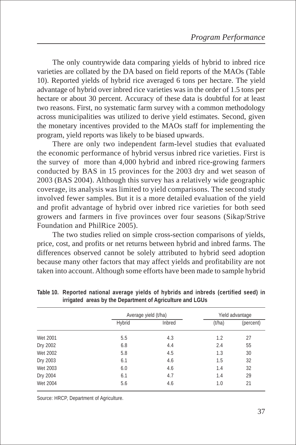The only countrywide data comparing yields of hybrid to inbred rice varieties are collated by the DA based on field reports of the MAOs (Table 10). Reported yields of hybrid rice averaged 6 tons per hectare. The yield advantage of hybrid over inbred rice varieties was in the order of 1.5 tons per hectare or about 30 percent. Accuracy of these data is doubtful for at least two reasons. First, no systematic farm survey with a common methodology across municipalities was utilized to derive yield estimates. Second, given the monetary incentives provided to the MAOs staff for implementing the program, yield reports was likely to be biased upwards.

There are only two independent farm-level studies that evaluated the economic performance of hybrid versus inbred rice varieties. First is the survey of more than 4,000 hybrid and inbred rice-growing farmers conducted by BAS in 15 provinces for the 2003 dry and wet season of 2003 (BAS 2004). Although this survey has a relatively wide geographic coverage, its analysis was limited to yield comparisons. The second study involved fewer samples. But it is a more detailed evaluation of the yield and profit advantage of hybrid over inbred rice varieties for both seed growers and farmers in five provinces over four seasons (Sikap/Strive Foundation and PhilRice 2005).

The two studies relied on simple cross-section comparisons of yields, price, cost, and profits or net returns between hybrid and inbred farms. The differences observed cannot be solely attributed to hybrid seed adoption because many other factors that may affect yields and profitability are not taken into account. Although some efforts have been made to sample hybrid

|          |        | Average yield (t/ha) | Yield advantage |           |  |  |
|----------|--------|----------------------|-----------------|-----------|--|--|
|          | Hybrid | Inbred               | (t/ha)          | (percent) |  |  |
| Wet 2001 | 5.5    | 4.3                  | 1.2             | 27        |  |  |
| Dry 2002 | 6.8    | 4.4                  | 2.4             | 55        |  |  |
| Wet 2002 | 5.8    | 4.5                  | 1.3             | 30        |  |  |
| Dry 2003 | 6.1    | 4.6                  | 1.5             | 32        |  |  |
| Wet 2003 | 6.0    | 4.6                  | 1.4             | 32        |  |  |
| Dry 2004 | 6.1    | 4.7                  | 1.4             | 29        |  |  |
| Wet 2004 | 5.6    | 4.6                  | 1.0             | 21        |  |  |

**Table 10. Reported national average yields of hybrids and inbreds (certified seed) in irrigated areas by the Department of Agriculture and LGUs**

Source: HRCP, Department of Agriculture.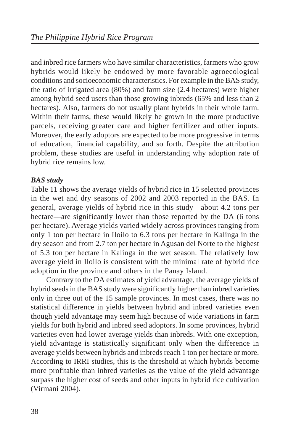and inbred rice farmers who have similar characteristics, farmers who grow hybrids would likely be endowed by more favorable agroecological conditions and socioeconomic characteristics. For example in the BAS study, the ratio of irrigated area (80%) and farm size (2.4 hectares) were higher among hybrid seed users than those growing inbreds (65% and less than 2 hectares). Also, farmers do not usually plant hybrids in their whole farm. Within their farms, these would likely be grown in the more productive parcels, receiving greater care and higher fertilizer and other inputs. Moreover, the early adoptors are expected to be more progressive in terms of education, financial capability, and so forth. Despite the attribution problem, these studies are useful in understanding why adoption rate of hybrid rice remains low.

# *BAS study*

Table 11 shows the average yields of hybrid rice in 15 selected provinces in the wet and dry seasons of 2002 and 2003 reported in the BAS. In general, average yields of hybrid rice in this study—about 4.2 tons per hectare—are significantly lower than those reported by the DA (6 tons per hectare). Average yields varied widely across provinces ranging from only 1 ton per hectare in Iloilo to 6.3 tons per hectare in Kalinga in the dry season and from 2.7 ton per hectare in Agusan del Norte to the highest of 5.3 ton per hectare in Kalinga in the wet season. The relatively low average yield in Iloilo is consistent with the minimal rate of hybrid rice adoption in the province and others in the Panay Island.

Contrary to the DA estimates of yield advantage, the average yields of hybrid seeds in the BAS study were significantly higher than inbred varieties only in three out of the 15 sample provinces. In most cases, there was no statistical difference in yields between hybrid and inbred varieties even though yield advantage may seem high because of wide variations in farm yields for both hybrid and inbred seed adoptors. In some provinces, hybrid varieties even had lower average yields than inbreds. With one exception, yield advantage is statistically significant only when the difference in average yields between hybrids and inbreds reach 1 ton per hectare or more. According to IRRI studies, this is the threshold at which hybrids become more profitable than inbred varieties as the value of the yield advantage surpass the higher cost of seeds and other inputs in hybrid rice cultivation (Virmani 2004).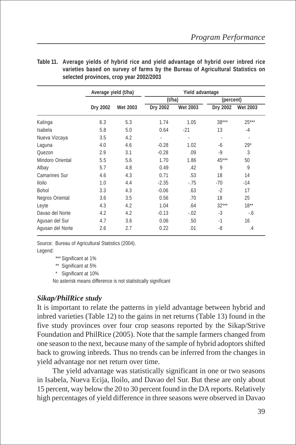|                      | Average yield (t/ha) |                 |                          | Yield advantage |                          |                          |
|----------------------|----------------------|-----------------|--------------------------|-----------------|--------------------------|--------------------------|
|                      |                      |                 | (t/ha)                   |                 | (percent)                |                          |
|                      | Dry 2002             | <b>Wet 2003</b> | Dry 2002                 | <b>Wet 2003</b> | Dry 2002                 | <b>Wet 2003</b>          |
| Kalinga              | 6.3                  | 5.3             | 1.74                     | 1.05            | $38***$                  | $25***$                  |
| Isabela              | 5.8                  | 5.0             | 0.64                     | $-21$           | 13                       | $-4$                     |
| Nueva Vizcaya        | 3.5                  | 4.2             | $\overline{\phantom{a}}$ | ٠               | $\overline{\phantom{a}}$ | $\overline{\phantom{m}}$ |
| Laguna               | 4.0                  | 4.6             | $-0.28$                  | 1.02            | -6                       | $29*$                    |
| Quezon               | 2.9                  | 3.1             | $-0.28$                  | .09             | $-9$                     | 3                        |
| Mindoro Oriental     | 5.5                  | 5.6             | 1.70                     | 1.86            | 45***                    | 50                       |
| Albay                | 5.7                  | 4.8             | 0.49                     | .42             | 9                        | 9                        |
| <b>Camarines Sur</b> | 4.6                  | 4.3             | 0.71                     | .53             | 18                       | 14                       |
| <b>Iloilo</b>        | 1.0                  | 4.4             | $-2.35$                  | $-75$           | $-70$                    | -14                      |
| <b>Bohol</b>         | 3.3                  | 4.3             | $-0.06$                  | .63             | $-2$                     | 17                       |
| Negros Oriental      | 3.6                  | 3.5             | 0.56                     | .70             | 18                       | 25                       |
| Leyte                | 4.3                  | 4.2             | 1.04                     | .64             | $32***$                  | $18***$                  |
| Davao del Norte      | 4.2                  | 4.2             | $-0.13$                  | $-0.02$         | $-3$                     | -.6                      |
| Agusan del Sur       | 4.7                  | 3.6             | 0.06                     | .50             | $-1$                     | 16                       |
| Agusan del Norte     | 2.6                  | 2.7             | 0.22                     | .01             | -8                       | $\cdot$                  |

**Table 11. Average yields of hybrid rice and yield advantage of hybrid over inbred rice varieties based on survey of farms by the Bureau of Agricultural Statistics on selected provinces, crop year 2002/2003**

Source: Bureau of Agricultural Statistics (2004). Legend:

\*\*\* Significant at 1%

\*\* Significant at 5%

\* Significant at 10%

No asterisk means difference is not statistically significant

# *Sikap/PhilRice study*

It is important to relate the patterns in yield advantage between hybrid and inbred varieties (Table 12) to the gains in net returns (Table 13) found in the five study provinces over four crop seasons reported by the Sikap/Strive Foundation and PhilRice (2005). Note that the sample farmers changed from one season to the next, because many of the sample of hybrid adoptors shifted back to growing inbreds. Thus no trends can be inferred from the changes in yield advantage nor net return over time.

The yield advantage was statistically significant in one or two seasons in Isabela, Nueva Ecija, Iloilo, and Davao del Sur. But these are only about 15 percent, way below the 20 to 30 percent found in the DA reports. Relatively high percentages of yield difference in three seasons were observed in Davao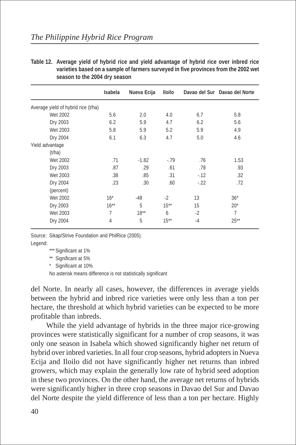**Table 12. Average yield of hybrid rice and yield advantage of hybrid rice over inbred rice varieties based on a sample of farmers surveyed in five provinces from the 2002 wet season to the 2004 dry season**

|                                     | Isabela | Nueva Ecija | <b>Iloilo</b> |       | Davao del Sur Davao del Norte |
|-------------------------------------|---------|-------------|---------------|-------|-------------------------------|
| Average yield of hybrid rice (t/ha) |         |             |               |       |                               |
| Wet 2002                            | 5.6     | 2.0         | 4.0           | 6.7   | 5.8                           |
| Dry 2003                            | 6.2     | 5.9         | 4.7           | 6.2   | 5.6                           |
| Wet 2003                            | 5.8     | 5.9         | 5.2           | 5.9   | 4.9                           |
| Dry 2004                            | 6.1     | 6.3         | 4.7           | 5.0   | 4.6                           |
| Yield advantage                     |         |             |               |       |                               |
| (t/ha)                              |         |             |               |       |                               |
| Wet 2002                            | .71     | $-1.82$     | $-79$         | .76   | 1.53                          |
| Dry 2003                            | .87     | .29         | .61           | .78   | .93                           |
| Wet 2003                            | .38     | .85         | .31           | $-12$ | .32                           |
| Dry 2004                            | .23     | .30         | .60           | $-22$ | .72                           |
| (percent)                           |         |             |               |       |                               |
| Wet 2002                            | $16*$   | $-48$       | $-2$          | 13    | $36*$                         |
| Dry 2003                            | $16***$ | 5           | $15***$       | 15    | $20*$                         |
| Wet 2003                            | 7       | $18***$     | 6             | $-2$  | 7                             |
| Dry 2004                            | 4       | 5           | $15***$       | $-4$  | $25***$                       |

Source: Sikap/Strive Foundation and PhilRice (2005). Legend:

\*\* Significant at 5%

\* Significant at 10%

No asterisk means difference is not statistically significant

del Norte. In nearly all cases, however, the differences in average yields between the hybrid and inbred rice varieties were only less than a ton per hectare, the threshold at which hybrid varieties can be expected to be more profitable than inbreds.

While the yield advantage of hybrids in the three major rice-growing provinces were statistically significant for a number of crop seasons, it was only one season in Isabela which showed significantly higher net return of hybrid over inbred varieties. In all four crop seasons, hybrid adopters in Nueva Ecija and Iloilo did not have significantly higher net returns than inbred growers, which may explain the generally low rate of hybrid seed adoption in these two provinces. On the other hand, the average net returns of hybrids were significantly higher in three crop seasons in Davao del Sur and Davao del Norte despite the yield difference of less than a ton per hectare. Highly

<sup>\*\*\*</sup> Significant at 1%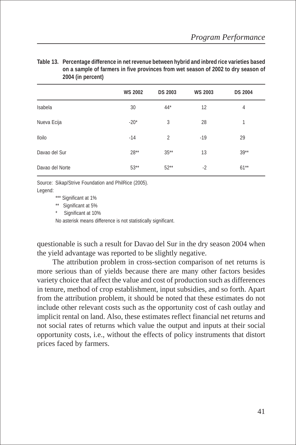| Table 13. Percentage difference in net revenue between hybrid and inbred rice varieties based |
|-----------------------------------------------------------------------------------------------|
| on a sample of farmers in five provinces from wet season of 2002 to dry season of             |
| 2004 (in percent)                                                                             |

|                 | <b>WS 2002</b> | <b>DS 2003</b> | <b>WS 2003</b> | <b>DS 2004</b> |
|-----------------|----------------|----------------|----------------|----------------|
| Isabela         | 30             | $44*$          | 12             | 4              |
| Nueva Ecija     | $-20*$         | 3              | 28             | 1              |
| <b>Iloilo</b>   | $-14$          | 2              | $-19$          | 29             |
| Davao del Sur   | $28**$         | $35***$        | 13             | $39**$         |
| Davao del Norte | $53***$        | $52**$         | $-2$           | $61***$        |

Source: Sikap/Strive Foundation and PhilRice (2005). Legend:

\*\*\* Significant at 1%

\*\* Significant at 5%

Significant at 10%

No asterisk means difference is not statistically significant.

questionable is such a result for Davao del Sur in the dry season 2004 when the yield advantage was reported to be slightly negative.

The attribution problem in cross-section comparison of net returns is more serious than of yields because there are many other factors besides variety choice that affect the value and cost of production such as differences in tenure, method of crop establishment, input subsidies, and so forth. Apart from the attribution problem, it should be noted that these estimates do not include other relevant costs such as the opportunity cost of cash outlay and implicit rental on land. Also, these estimates reflect financial net returns and not social rates of returns which value the output and inputs at their social opportunity costs, i.e., without the effects of policy instruments that distort prices faced by farmers.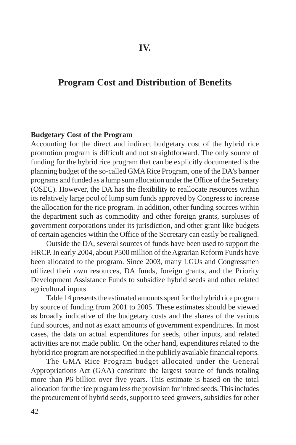# **Program Cost and Distribution of Benefits**

#### **Budgetary Cost of the Program**

Accounting for the direct and indirect budgetary cost of the hybrid rice promotion program is difficult and not straightforward. The only source of funding for the hybrid rice program that can be explicitly documented is the planning budget of the so-called GMA Rice Program, one of the DA's banner programs and funded as a lump sum allocation under the Office of the Secretary (OSEC). However, the DA has the flexibility to reallocate resources within its relatively large pool of lump sum funds approved by Congress to increase the allocation for the rice program. In addition, other funding sources within the department such as commodity and other foreign grants, surpluses of government corporations under its jurisdiction, and other grant-like budgets of certain agencies within the Office of the Secretary can easily be realigned.

Outside the DA, several sources of funds have been used to support the HRCP. In early 2004, about P500 million of the Agrarian Reform Funds have been allocated to the program. Since 2003, many LGUs and Congressmen utilized their own resources, DA funds, foreign grants, and the Priority Development Assistance Funds to subsidize hybrid seeds and other related agricultural inputs.

Table 14 presents the estimated amounts spent for the hybrid rice program by source of funding from 2001 to 2005. These estimates should be viewed as broadly indicative of the budgetary costs and the shares of the various fund sources, and not as exact amounts of government expenditures. In most cases, the data on actual expenditures for seeds, other inputs, and related activities are not made public. On the other hand, expenditures related to the hybrid rice program are not specified in the publicly available financial reports.

The GMA Rice Program budget allocated under the General Appropriations Act (GAA) constitute the largest source of funds totaling more than P6 billion over five years. This estimate is based on the total allocation for the rice program less the provision for inbred seeds. This includes the procurement of hybrid seeds, support to seed growers, subsidies for other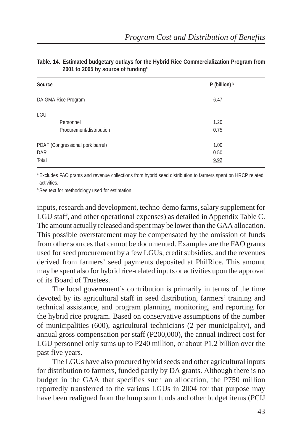| $P$ (billion) $b$ |  |  |  |  |  |
|-------------------|--|--|--|--|--|
| 6.47              |  |  |  |  |  |
|                   |  |  |  |  |  |
| 1.20              |  |  |  |  |  |
| 0.75              |  |  |  |  |  |
| 1.00              |  |  |  |  |  |
| 0.50              |  |  |  |  |  |
| 9.92              |  |  |  |  |  |
|                   |  |  |  |  |  |

#### **Table. 14. Estimated budgetary outlays for the Hybrid Rice Commercialization Program from 2001 to 2005 by source of fundinga**

a.Excludes FAO grants and revenue collections from hybrid seed distribution to farmers spent on HRCP related activities.

**b.See text for methodology used for estimation.** 

inputs, research and development, techno-demo farms, salary supplement for LGU staff, and other operational expenses) as detailed in Appendix Table C. The amount actually released and spent may be lower than the GAA allocation. This possible overstatement may be compensated by the omission of funds from other sources that cannot be documented. Examples are the FAO grants used for seed procurement by a few LGUs, credit subsidies, and the revenues derived from farmers' seed payments deposited at PhilRice. This amount may be spent also for hybrid rice-related inputs or activities upon the approval of its Board of Trustees.

The local government's contribution is primarily in terms of the time devoted by its agricultural staff in seed distribution, farmers' training and technical assistance, and program planning, monitoring, and reporting for the hybrid rice program. Based on conservative assumptions of the number of municipalities (600), agricultural technicians (2 per municipality), and annual gross compensation per staff (P200,000), the annual indirect cost for LGU personnel only sums up to P240 million, or about P1.2 billion over the past five years.

The LGUs have also procured hybrid seeds and other agricultural inputs for distribution to farmers, funded partly by DA grants. Although there is no budget in the GAA that specifies such an allocation, the P750 million reportedly transferred to the various LGUs in 2004 for that purpose may have been realigned from the lump sum funds and other budget items (PCIJ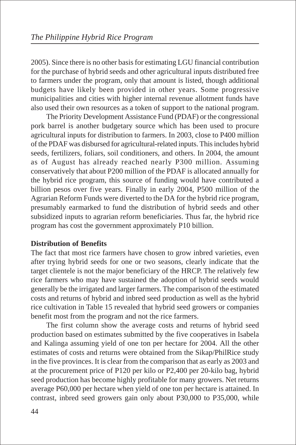2005). Since there is no other basis for estimating LGU financial contribution for the purchase of hybrid seeds and other agricultural inputs distributed free to farmers under the program, only that amount is listed, though additional budgets have likely been provided in other years. Some progressive municipalities and cities with higher internal revenue allotment funds have also used their own resources as a token of support to the national program.

The Priority Development Assistance Fund (PDAF) or the congressional pork barrel is another budgetary source which has been used to procure agricultural inputs for distribution to farmers. In 2003, close to P400 million of the PDAF was disbursed for agricultural-related inputs. This includes hybrid seeds, fertilizers, foliars, soil conditioners, and others. In 2004, the amount as of August has already reached nearly P300 million. Assuming conservatively that about P200 million of the PDAF is allocated annually for the hybrid rice program, this source of funding would have contributed a billion pesos over five years. Finally in early 2004, P500 million of the Agrarian Reform Funds were diverted to the DA for the hybrid rice program, presumably earmarked to fund the distribution of hybrid seeds and other subsidized inputs to agrarian reform beneficiaries. Thus far, the hybrid rice program has cost the government approximately P10 billion.

# **Distribution of Benefits**

The fact that most rice farmers have chosen to grow inbred varieties, even after trying hybrid seeds for one or two seasons, clearly indicate that the target clientele is not the major beneficiary of the HRCP. The relatively few rice farmers who may have sustained the adoption of hybrid seeds would generally be the irrigated and larger farmers. The comparison of the estimated costs and returns of hybrid and inbred seed production as well as the hybrid rice cultivation in Table 15 revealed that hybrid seed growers or companies benefit most from the program and not the rice farmers.

The first column show the average costs and returns of hybrid seed production based on estimates submitted by the five cooperatives in Isabela and Kalinga assuming yield of one ton per hectare for 2004. All the other estimates of costs and returns were obtained from the Sikap/PhilRice study in the five provinces. It is clear from the comparison that as early as 2003 and at the procurement price of P120 per kilo or P2,400 per 20-kilo bag, hybrid seed production has become highly profitable for many growers. Net returns average P60,000 per hectare when yield of one ton per hectare is attained. In contrast, inbred seed growers gain only about P30,000 to P35,000, while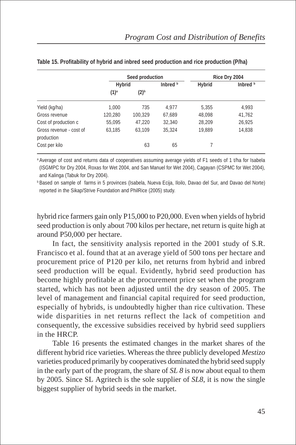|                                       |         | Seed production | Rice Dry 2004 |        |          |  |
|---------------------------------------|---------|-----------------|---------------|--------|----------|--|
|                                       | Hybrid  |                 | Inbred b      | Hybrid | Inbred b |  |
|                                       | $(1)^a$ | $(2)^{b}$       |               |        |          |  |
| Yield (kg/ha)                         | 1.000   | 735             | 4.977         | 5,355  | 4.993    |  |
| Gross revenue                         | 120,280 | 100,329         | 67,689        | 48,098 | 41,762   |  |
| Cost of production c                  | 55,095  | 47,220          | 32,340        | 28,209 | 26,925   |  |
| Gross revenue - cost of<br>production | 63.185  | 63,109          | 35,324        | 19,889 | 14,838   |  |
| Cost per kilo                         |         | 63              | 65            |        |          |  |

|  |  |  |  | Table 15. Profitability of hybrid and inbred seed production and rice production (P/ha) |  |  |  |
|--|--|--|--|-----------------------------------------------------------------------------------------|--|--|--|
|--|--|--|--|-----------------------------------------------------------------------------------------|--|--|--|

<sup>a</sup> Average of cost and returns data of cooperatives assuming average yields of F1 seeds of 1 t/ha for Isabela (ISGMPC for Dry 2004, Roxas for Wet 2004, and San Manuel for Wet 2004), Cagayan (CSPMC for Wet 2004), and Kalinga (Tabuk for Dry 2004).

<sup>b</sup> Based on sample of farms in 5 provinces (Isabela, Nueva Ecija, Iloilo, Davao del Sur, and Davao del Norte) reported in the Sikap/Strive Foundation and PhilRice (2005) study.

hybrid rice farmers gain only P15,000 to P20,000. Even when yields of hybrid seed production is only about 700 kilos per hectare, net return is quite high at around P50,000 per hectare.

In fact, the sensitivity analysis reported in the 2001 study of S.R. Francisco et al. found that at an average yield of 500 tons per hectare and procurement price of P120 per kilo, net returns from hybrid and inbred seed production will be equal. Evidently, hybrid seed production has become highly profitable at the procurement price set when the program started, which has not been adjusted until the dry season of 2005. The level of management and financial capital required for seed production, especially of hybrids, is undoubtedly higher than rice cultivation. These wide disparities in net returns reflect the lack of competition and consequently, the excessive subsidies received by hybrid seed suppliers in the HRCP.

Table 16 presents the estimated changes in the market shares of the different hybrid rice varieties. Whereas the three publicly developed *Mestizo* varieties produced primarily by cooperatives dominated the hybrid seed supply in the early part of the program, the share of *SL 8* is now about equal to them by 2005. Since SL Agritech is the sole supplier of *SL8*, it is now the single biggest supplier of hybrid seeds in the market.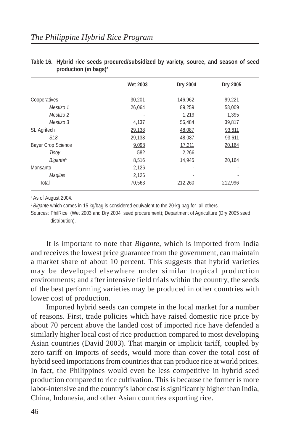|                             | <b>Wet 2003</b> | Dry 2004 | Dry 2005 |
|-----------------------------|-----------------|----------|----------|
| Cooperatives                | 30,201          | 146,962  | 99,221   |
| Mestizo 1                   | 26,064          | 89,259   | 58,009   |
| Mestizo 2                   |                 | 1.219    | 1,395    |
| Mestizo 3                   | 4,137           | 56,484   | 39.817   |
| <b>SL Agritech</b>          | 29,138          | 48,087   | 93,611   |
| SL8                         | 29,138          | 48,087   | 93,611   |
| <b>Bayer Crop Science</b>   | 9,098           | 17,211   | 20,164   |
| Tisov                       | 582             | 2,266    |          |
| <b>Bigante</b> <sup>b</sup> | 8,516           | 14.945   | 20.164   |
| Monsanto                    | 2,126           | ٠        | ٠        |
| Magilas                     | 2,126           |          |          |
| Total                       | 70.563          | 212,260  | 212.996  |

**Table 16. Hybrid rice seeds procured/subsidized by variety, source, and season of seed production (in bags)a**

<sup>a</sup> As of August 2004.

*Bigante* which comes in 15 kg/bag is considered equivalent to the 20-kg bag for all others.

Sources: PhilRice (Wet 2003 and Dry 2004 seed procurement); Department of Agriculture (Dry 2005 seed distribution).

It is important to note that *Bigante*, which is imported from India and receives the lowest price guarantee from the government, can maintain a market share of about 10 percent. This suggests that hybrid varieties may be developed elsewhere under similar tropical production environments; and after intensive field trials within the country, the seeds of the best performing varieties may be produced in other countries with lower cost of production.

Imported hybrid seeds can compete in the local market for a number of reasons. First, trade policies which have raised domestic rice price by about 70 percent above the landed cost of imported rice have defended a similarly higher local cost of rice production compared to most developing Asian countries (David 2003). That margin or implicit tariff, coupled by zero tariff on imports of seeds, would more than cover the total cost of hybrid seed importations from countries that can produce rice at world prices. In fact, the Philippines would even be less competitive in hybrid seed production compared to rice cultivation. This is because the former is more labor-intensive and the country's labor cost is significantly higher than India, China, Indonesia, and other Asian countries exporting rice.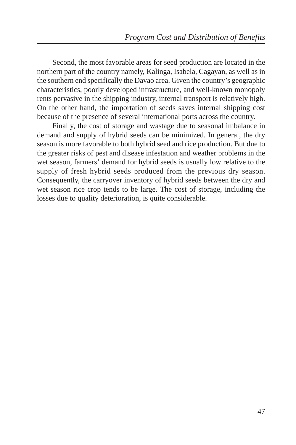Second, the most favorable areas for seed production are located in the northern part of the country namely, Kalinga, Isabela, Cagayan, as well as in the southern end specifically the Davao area. Given the country's geographic characteristics, poorly developed infrastructure, and well-known monopoly rents pervasive in the shipping industry, internal transport is relatively high. On the other hand, the importation of seeds saves internal shipping cost because of the presence of several international ports across the country.

Finally, the cost of storage and wastage due to seasonal imbalance in demand and supply of hybrid seeds can be minimized. In general, the dry season is more favorable to both hybrid seed and rice production. But due to the greater risks of pest and disease infestation and weather problems in the wet season, farmers' demand for hybrid seeds is usually low relative to the supply of fresh hybrid seeds produced from the previous dry season. Consequently, the carryover inventory of hybrid seeds between the dry and wet season rice crop tends to be large. The cost of storage, including the losses due to quality deterioration, is quite considerable.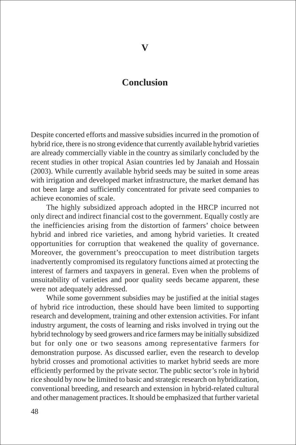# **Conclusion**

Despite concerted efforts and massive subsidies incurred in the promotion of hybrid rice, there is no strong evidence that currently available hybrid varieties are already commercially viable in the country as similarly concluded by the recent studies in other tropical Asian countries led by Janaiah and Hossain (2003). While currently available hybrid seeds may be suited in some areas with irrigation and developed market infrastructure, the market demand has not been large and sufficiently concentrated for private seed companies to achieve economies of scale.

The highly subsidized approach adopted in the HRCP incurred not only direct and indirect financial cost to the government. Equally costly are the inefficiencies arising from the distortion of farmers' choice between hybrid and inbred rice varieties, and among hybrid varieties. It created opportunities for corruption that weakened the quality of governance. Moreover, the government's preoccupation to meet distribution targets inadvertently compromised its regulatory functions aimed at protecting the interest of farmers and taxpayers in general. Even when the problems of unsuitability of varieties and poor quality seeds became apparent, these were not adequately addressed.

While some government subsidies may be justified at the initial stages of hybrid rice introduction, these should have been limited to supporting research and development, training and other extension activities. For infant industry argument, the costs of learning and risks involved in trying out the hybrid technology by seed growers and rice farmers may be initially subsidized but for only one or two seasons among representative farmers for demonstration purpose. As discussed earlier, even the research to develop hybrid crosses and promotional activities to market hybrid seeds are more efficiently performed by the private sector. The public sector's role in hybrid rice should by now be limited to basic and strategic research on hybridization, conventional breeding, and research and extension in hybrid-related cultural and other management practices. It should be emphasized that further varietal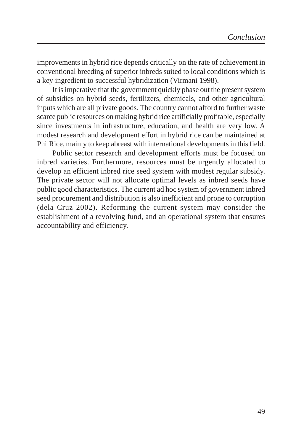improvements in hybrid rice depends critically on the rate of achievement in conventional breeding of superior inbreds suited to local conditions which is a key ingredient to successful hybridization (Virmani 1998).

It is imperative that the government quickly phase out the present system of subsidies on hybrid seeds, fertilizers, chemicals, and other agricultural inputs which are all private goods. The country cannot afford to further waste scarce public resources on making hybrid rice artificially profitable, especially since investments in infrastructure, education, and health are very low. A modest research and development effort in hybrid rice can be maintained at PhilRice, mainly to keep abreast with international developments in this field.

Public sector research and development efforts must be focused on inbred varieties. Furthermore, resources must be urgently allocated to develop an efficient inbred rice seed system with modest regular subsidy. The private sector will not allocate optimal levels as inbred seeds have public good characteristics. The current ad hoc system of government inbred seed procurement and distribution is also inefficient and prone to corruption (dela Cruz 2002). Reforming the current system may consider the establishment of a revolving fund, and an operational system that ensures accountability and efficiency.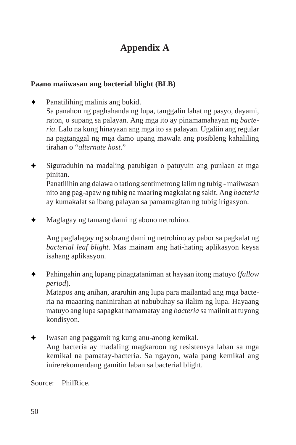# **Appendix A**

# **Paano maiiwasan ang bacterial blight (BLB)**

- $\triangleleft$  Panatilihing malinis ang bukid. Sa panahon ng paghahanda ng lupa, tanggalin lahat ng pasyo, dayami, raton, o supang sa palayan. Ang mga ito ay pinamamahayan ng *bacteria*. Lalo na kung hinayaan ang mga ito sa palayan. Ugaliin ang regular na pagtanggal ng mga damo upang mawala ang posibleng kahaliling tirahan o "*alternate host*."
- Siguraduhin na madaling patubigan o patuyuin ang punlaan at mga pinitan.

Panatilihin ang dalawa o tatlong sentimetrong lalim ng tubig - maiiwasan nito ang pag-apaw ng tubig na maaring magkalat ng sakit. Ang *bacteria* ay kumakalat sa ibang palayan sa pamamagitan ng tubig irigasyon.

✦ Maglagay ng tamang dami ng abono netrohino.

Ang paglalagay ng sobrang dami ng netrohino ay pabor sa pagkalat ng *bacterial leaf blight*. Mas mainam ang hati-hating aplikasyon keysa isahang aplikasyon.

✦ Pahingahin ang lupang pinagtataniman at hayaan itong matuyo (*fallow period*).

Matapos ang anihan, araruhin ang lupa para mailantad ang mga bacteria na maaaring naninirahan at nabubuhay sa ilalim ng lupa. Hayaang matuyo ang lupa sapagkat namamatay ang *bacteria* sa maiinit at tuyong kondisyon.

✦ Iwasan ang paggamit ng kung anu-anong kemikal. Ang bacteria ay madaling magkaroon ng resistensya laban sa mga kemikal na pamatay-bacteria. Sa ngayon, wala pang kemikal ang inirerekomendang gamitin laban sa bacterial blight.

Source: PhilRice.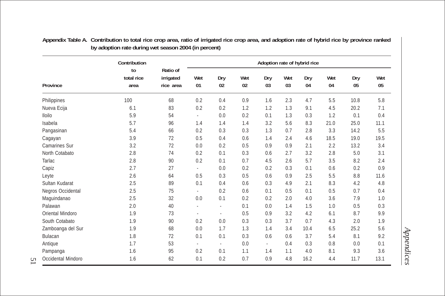|                      | Contribution             |                                    | Adoption rate of hybrid rice |                |           |                             |           |           |           |           |           |
|----------------------|--------------------------|------------------------------------|------------------------------|----------------|-----------|-----------------------------|-----------|-----------|-----------|-----------|-----------|
| <b>Province</b>      | to<br>total rice<br>area | Ratio of<br>irrigated<br>rice area | Wet<br>01                    | Dry<br>02      | Wet<br>02 | Dry<br>03                   | Wet<br>03 | Dry<br>04 | Wet<br>04 | Dry<br>05 | Wet<br>05 |
| Philippines          | 100                      | 68                                 | 0.2                          | 0.4            | 0.9       | 1.6                         | 2.3       | 4.7       | 5.5       | 10.8      | 5.8       |
| Nueva Ecija          | 6.1                      | 83                                 | 0.2                          | 0.2            | 1.2       | 1.2                         | 1.3       | 9.1       | 4.5       | 20.2      | 7.1       |
| <b>Iloilo</b>        | 5.9                      | 54                                 | ÷.                           | 0.0            | 0.2       | 0.1                         | 1.3       | 0.3       | 1.2       | 0.1       | 0.4       |
| Isabela              | 5.7                      | 96                                 | 1.4                          | 1.4            | 1.4       | 3.2                         | 5.6       | 8.3       | 21.0      | 25.0      | 11.1      |
| Pangasinan           | 5.4                      | 66                                 | 0.2                          | 0.3            | 0.3       | 1.3                         | 0.7       | 2.8       | 3.3       | 14.2      | 5.5       |
| Cagayan              | 3.9                      | 72                                 | 0.5                          | 0.4            | 0.6       | 1.4                         | 2.4       | 4.6       | 18.5      | 19.0      | 19.5      |
| <b>Camarines Sur</b> | 3.2                      | 72                                 | 0.0                          | 0.2            | 0.5       | 0.9                         | 0.9       | 2.1       | 2.2       | 13.2      | 3.4       |
| North Cotabato       | 2.8                      | 74                                 | 0.2                          | 0.1            | 0.3       | 0.6                         | 2.7       | 3.2       | 2.8       | 5.0       | 3.1       |
| Tarlac               | 2.8                      | 90                                 | 0.2                          | 0.1            | 0.7       | 4.5                         | 2.6       | 5.7       | 3.5       | 8.2       | 2.4       |
| Capiz                | 2.7                      | 27                                 | $\omega$                     | 0.0            | 0.2       | 0.2                         | 0.3       | 0.1       | 0.6       | 0.2       | 0.9       |
| Leyte                | 2.6                      | 64                                 | 0.5                          | 0.3            | 0.5       | 0.6                         | 0.9       | 2.5       | 5.5       | 8.8       | 11.6      |
| Sultan Kudarat       | 2.5                      | 89                                 | 0.1                          | 0.4            | 0.6       | 0.3                         | 4.9       | 2.1       | 8.3       | 4.2       | 4.8       |
| Negros Occidental    | 2.5                      | 75                                 | ÷.                           | 0.2            | 0.6       | 0.1                         | 0.5       | 0.1       | 0.5       | 0.7       | 0.4       |
| Maquindanao          | 2.5                      | 32                                 | 0.0                          | 0.1            | 0.2       | 0.2                         | 2.0       | 4.0       | 3.6       | 7.9       | 1.0       |
| Palawan              | 2.0                      | 40                                 | ÷                            | $\blacksquare$ | 0.1       | 0.0                         | 1.4       | 1.5       | 1.0       | 0.5       | 0.3       |
| Oriental Mindoro     | 1.9                      | 73                                 | ä,                           | $\mathbf{r}$   | 0.5       | 0.9                         | 3.2       | 4.2       | 6.1       | 8.7       | 9.9       |
| South Cotabato       | 1.9                      | 90                                 | 0.2                          | 0.0            | 0.3       | 0.3                         | 3.7       | 0.7       | 4.3       | 2.0       | 1.9       |
| Zamboanga del Sur    | 1.9                      | 68                                 | 0.0                          | 1.7            | 1.3       | 1.4                         | 3.4       | 10.4      | 6.5       | 25.2      | 5.6       |
| <b>Bulacan</b>       | 1.8                      | 72                                 | 0.1                          | 0.1            | 0.3       | 0.6                         | 0.6       | 3.7       | 5.4       | 8.1       | 9.2       |
| Antique              | 1.7                      | 53                                 | $\sim$                       | $\sim$         | 0.0       | $\mathcal{L}_{\mathcal{A}}$ | 0.4       | 0.3       | 0.8       | 0.0       | 0.1       |
| Pampanga             | 1.6                      | 95                                 | 0.2                          | 0.1            | 1.1       | 1.4                         | 1.1       | 4.0       | 8.1       | 9.3       | 3.6       |
| Occidental Mindoro   | 1.6                      | 62                                 | 0.1                          | 0.2            | 0.7       | 0.9                         | 4.8       | 16.2      | 4.4       | 11.7      | 13.1      |

**Appendix Table A. Contribution to total rice crop area, ratio of irrigated rice crop area, and adoption rate of hybrid rice by province ranked by adoption rate during wet season 2004 (in percent)**

*Appendices*

51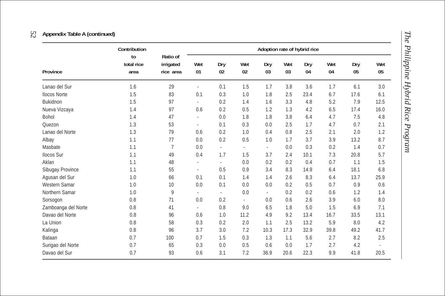# 52**Appendix Table A (continued)**

|                      | Contribution             |                                    | Adoption rate of hybrid rice |                |                |                |           |           |           |           |           |
|----------------------|--------------------------|------------------------------------|------------------------------|----------------|----------------|----------------|-----------|-----------|-----------|-----------|-----------|
| Province             | to<br>total rice<br>area | Ratio of<br>irrigated<br>rice area | Wet<br>01                    | Dry<br>02      | Wet<br>02      | Dry<br>03      | Wet<br>03 | Dry<br>04 | Wet<br>04 | Dry<br>05 | Wet<br>05 |
| Lanao del Sur        | 1.6                      | 29                                 | $\blacksquare$               | 0.1            | 1.5            | 1.7            | 3.8       | 3.6       | 1.7       | 6.1       | 3.0       |
| <b>Ilocos Norte</b>  | 1.5                      | 83                                 | 0.1                          | 0.3            | 1.0            | 1.8            | 2.5       | 23.4      | 6.7       | 17.6      | 6.1       |
| <b>Bukidnon</b>      | 1.5                      | 97                                 | ÷.                           | 0.2            | 1.4            | 1.6            | 3.3       | 4.8       | 5.2       | 7.9       | 12.5      |
| Nueva Vizcaya        | 1.4                      | 97                                 | 0.6                          | 0.2            | 0.5            | 1.2            | 1.3       | 4.2       | 6.5       | 17.4      | 16.0      |
| Bohol                | 1.4                      | 47                                 | $\blacksquare$               | 0.0            | 1.8            | 1.8            | 3.8       | 6.4       | 4.7       | 7.5       | 4.8       |
| Ouezon               | 1.3                      | 53                                 | ÷,                           | 0.1            | 0.3            | 0.0            | 2.5       | 1.7       | 4.7       | 0.7       | 2.1       |
| Lanao del Norte      | 1.3                      | 79                                 | 0.6                          | 0.2            | 1.0            | 0.4            | 0.8       | 2.5       | 2.1       | 2.0       | 1.2       |
| Albay                | 1.1                      | 77                                 | 0.0                          | 0.2            | 0.5            | 1.0            | 1.7       | 3.7       | 3.9       | 13.2      | 8.7       |
| Masbate              | 1.1                      | 7                                  | 0.0                          | ÷              | $\blacksquare$ | $\blacksquare$ | 0.0       | 0.3       | 0.2       | 1.4       | 0.7       |
| <b>Ilocos Sur</b>    | 1.1                      | 49                                 | 0.4                          | 1.7            | 1.5            | 3.7            | 2.4       | 10.1      | 7.3       | 20.8      | 5.7       |
| Aklan                | 1.1                      | 48                                 | ٠                            | $\blacksquare$ | 0.0            | 0.2            | 0.2       | 0.4       | 0.7       | 1.1       | 1.5       |
| Sibugay Province     | 1.1                      | 55                                 | $\sim$                       | 0.5            | 0.9            | 3.4            | 8.3       | 14.9      | 6.4       | 18.1      | 6.8       |
| Agusan del Sur       | 1.0                      | 66                                 | 0.1                          | 0.1            | 1.4            | 1.4            | 2.6       | 8.3       | 6.4       | 13.7      | 25.9      |
| <b>Western Samar</b> | 1.0                      | 10                                 | 0.0                          | 0.1            | 0.0            | 0.0            | 0.2       | 0.5       | 0.7       | 0.9       | 0.6       |
| Northern Samar       | 1.0                      | 9                                  | $\blacksquare$               | $\blacksquare$ | 0.0            | ÷.             | 0.2       | 0.2       | 0.6       | 1.2       | 1.4       |
| Sorsogon             | 0.8                      | 71                                 | 0.0                          | 0.2            | ÷.             | 0.0            | 0.6       | 2.6       | 3.9       | 6.0       | 8.0       |
| Zamboanga del Norte  | 0.8                      | 41                                 | $\blacksquare$               | 0.8            | 9.0            | 6.5            | 1.8       | 5.0       | 1.5       | 6.9       | 7.1       |
| Davao del Norte      | 0.8                      | 96                                 | 0.6                          | 1.0            | 11.2           | 4.9            | 9.2       | 13.4      | 16.7      | 33.5      | 13.1      |
| La Union             | 0.8                      | 58                                 | 0.3                          | 0.2            | 2.0            | 1.1            | 2.5       | 13.2      | 5.9       | 8.0       | 4.2       |
| Kalinga              | 0.8                      | 96                                 | 3.7                          | 3.0            | 7.2            | 10.3           | 17.3      | 32.9      | 39.8      | 49.2      | 41.7      |
| Bataan               | 0.7                      | 100                                | 0.7                          | 1.5            | 0.3            | 1.3            | 1.1       | 5.6       | 2.7       | 8.2       | 2.5       |
| Surigao del Norte    | 0.7                      | 65                                 | 0.3                          | 0.0            | 0.5            | 0.6            | 0.0       | 1.7       | 2.7       | 4.2       |           |
| Davao del Sur        | 0.7                      | 93                                 | 0.6                          | 3.1            | 7.2            | 36.9           | 20.6      | 22.3      | 9.9       | 41.8      | 20.5      |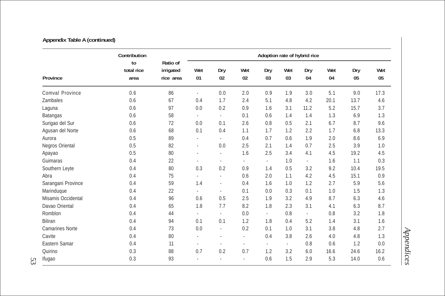# **Appendix Table A (continued)**

|                        | Contribution             |                                    |                          |                          |                          |           |           | Adoption rate of hybrid rice |           |           |           |
|------------------------|--------------------------|------------------------------------|--------------------------|--------------------------|--------------------------|-----------|-----------|------------------------------|-----------|-----------|-----------|
| <b>Province</b>        | to<br>total rice<br>area | Ratio of<br>irrigated<br>rice area | Wet<br>01                | Dry<br>02                | Wet<br>02                | Dry<br>03 | Wet<br>03 | Dry<br>04                    | Wet<br>04 | Dry<br>05 | Wet<br>05 |
| Comval Province        | 0.6                      | 86                                 | $\omega$                 | 0.0                      | 2.0                      | 0.9       | 1.9       | 3.0                          | 5.1       | 9.0       | 17.3      |
| Zambales               | 0.6                      | 67                                 | 0.4                      | 1.7                      | 2.4                      | 5.1       | 4.8       | 4.2                          | 20.1      | 13.7      | 4.6       |
| Laguna                 | 0.6                      | 97                                 | 0.0                      | 0.2                      | 0.9                      | 1.6       | 3.1       | 11.2                         | 5.2       | 15.7      | 3.7       |
| <b>Batangas</b>        | 0.6                      | 58                                 | $\sim$                   | $\blacksquare$           | 0.1                      | 0.6       | 1.4       | 1.4                          | 1.3       | 6.9       | 1.3       |
| Surigao del Sur        | 0.6                      | 72                                 | 0.0                      | 0.1                      | 2.6                      | 0.8       | 0.5       | 2.1                          | 6.7       | 8.7       | 9.6       |
| Agusan del Norte       | 0.6                      | 68                                 | 0.1                      | 0.4                      | 1.1                      | 1.7       | 1.2       | 2.2                          | 1.7       | 6.8       | 13.3      |
| Aurora                 | 0.5                      | 89                                 | $\sim$                   | ÷.                       | 0.4                      | 0.7       | 0.6       | 1.9                          | 2.0       | 8.6       | 6.9       |
| Negros Oriental        | 0.5                      | 82                                 | $\sim$                   | 0.0                      | 2.5                      | 2.1       | 1.4       | 0.7                          | 2.5       | 3.9       | 1.0       |
| Apayao                 | 0.5                      | 80                                 | $\blacksquare$           | $\overline{\phantom{a}}$ | 1.6                      | 2.5       | 3.4       | 4.1                          | 4.5       | 19.2      | 4.5       |
| Guimaras               | 0.4                      | 22                                 | $\blacksquare$           |                          | $\blacksquare$           | $\sim$    | 1.0       | $\overline{\phantom{a}}$     | 1.6       | 1.1       | 0.3       |
| Southern Leyte         | 0.4                      | 80                                 | 0.3                      | 0.2                      | 0.9                      | 1.4       | 0.5       | 3.2                          | 9.2       | 10.4      | 19.5      |
| Abra                   | 0.4                      | 75                                 | ÷.                       | $\bar{a}$                | 0.6                      | 2.0       | 1.1       | 4.2                          | 4.5       | 15.1      | 0.9       |
| Sarangani Province     | 0.4                      | 59                                 | 1.4                      | $\sim$                   | 0.4                      | 1.6       | 1.0       | 1.2                          | 2.7       | 5.9       | 5.6       |
| Marinduque             | 0.4                      | 22                                 | $\sim$                   | $\blacksquare$           | 0.1                      | 0.0       | 0.3       | 0.1                          | 1.0       | 1.5       | 1.3       |
| Misamis Occidental     | 0.4                      | 96                                 | 0.6                      | 0.5                      | 2.5                      | 1.9       | 3.2       | 4.9                          | 8.7       | 6.3       | 4.6       |
| Davao Oriental         | 0.4                      | 65                                 | 1.8                      | 7.7                      | 8.2                      | 1.8       | 2.3       | 3.1                          | 4.1       | 6.3       | 8.7       |
| Romblon                | 0.4                      | 44                                 | $\sim$                   | $\blacksquare$           | 0.0                      | $\sim$    | 0.8       | $\blacksquare$               | 0.8       | 3.2       | 1.8       |
| <b>Biliran</b>         | 0.4                      | 94                                 | 0.1                      | 0.1                      | 1.2                      | 1.8       | 0.4       | 5.2                          | 1.4       | 3.1       | 1.6       |
| <b>Camarines Norte</b> | 0.4                      | 73                                 | 0.0                      | $\overline{\phantom{a}}$ | 0.2                      | 0.1       | 1.0       | 3.1                          | 3.8       | 4.8       | 2.7       |
| Cavite                 | 0.4                      | 80                                 | $\overline{\phantom{a}}$ |                          | $\overline{\phantom{a}}$ | 0.4       | 3.8       | 2.6                          | 4.0       | 4.8       | 1.3       |
| Eastern Samar          | 0.4                      | 11                                 | $\sim$                   |                          | $\overline{\phantom{a}}$ | $\sim$    | $\sim$    | 0.8                          | 0.6       | 1.2       | 0.0       |
| Quirino                | 0.3                      | 88                                 | 0.7                      | 0.2                      | 0.7                      | 1.2       | 3.2       | 6.0                          | 16.6      | 24.6      | 16.2      |
| Ifugao                 | 0.3                      | 93                                 | $\blacksquare$           |                          | $\sim$                   | 0.6       | 1.5       | 2.9                          | 5.3       | 14.0      | 0.6       |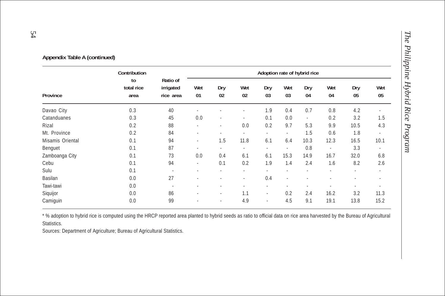|                  | Contribution             |                                    | Adoption rate of hybrid rice |                          |                          |                          |                          |                          |                          |           |                          |
|------------------|--------------------------|------------------------------------|------------------------------|--------------------------|--------------------------|--------------------------|--------------------------|--------------------------|--------------------------|-----------|--------------------------|
| Province         | to<br>total rice<br>area | Ratio of<br>irrigated<br>rice area | Wet<br>01                    | Dry<br>02                | Wet<br>02                | Dry<br>03                | Wet<br>03                | Dry<br>04                | Wet<br>04                | Dry<br>05 | Wet<br>05                |
| Davao City       | 0.3                      | 40                                 |                              |                          | $\overline{\phantom{a}}$ | 1.9                      | 0.4                      | 0.7                      | 0.8                      | 4.2       | ٠                        |
| Catanduanes      | 0.3                      | 45                                 | 0.0                          | $\sim$                   | ٠                        | 0.1                      | 0.0                      | $\overline{\phantom{a}}$ | 0.2                      | 3.2       | 1.5                      |
| Rizal            | 0.2                      | 88                                 | $\sim$                       | $\sim$                   | 0.0                      | 0.2                      | 9.7                      | 5.3                      | 9.9                      | 10.5      | 4.3                      |
| Mt. Province     | 0.2                      | 84                                 |                              |                          | $\overline{\phantom{a}}$ | $\overline{\phantom{a}}$ | $\overline{\phantom{a}}$ | 1.5                      | 0.6                      | 1.8       | $\sim$                   |
| Misamis Oriental | 0.1                      | 94                                 | ٠                            | 1.5                      | 11.8                     | 6.1                      | 6.4                      | 10.3                     | 12.3                     | 16.5      | 10.1                     |
| Benguet          | 0.1                      | 87                                 |                              |                          |                          | ٠                        | $\overline{\phantom{a}}$ | 0.8                      | $\overline{\phantom{a}}$ | 3.3       | $\overline{\phantom{a}}$ |
| Zamboanga City   | 0.1                      | 73                                 | 0.0                          | 0.4                      | 6.1                      | 6.1                      | 15.3                     | 14.9                     | 16.7                     | 32.0      | 6.8                      |
| Cebu             | 0.1                      | 94                                 | $\sim$                       | 0.1                      | 0.2                      | 1.9                      | 1.4                      | 2.4                      | 1.6                      | 8.2       | 2.6                      |
| Sulu             | 0.1                      | ٠                                  |                              | $\overline{\phantom{a}}$ | ٠                        | ٠                        | ٠                        |                          | $\overline{\phantom{a}}$ | ٠         | $\overline{\phantom{a}}$ |
| Basilan          | 0.0                      | 27                                 |                              | $\overline{\phantom{a}}$ | $\overline{\phantom{a}}$ | 0.4                      | $\overline{\phantom{a}}$ |                          |                          |           |                          |
| Tawi-tawi        | 0.0                      | ٠                                  |                              | $\overline{\phantom{a}}$ | ٠                        | ٠                        |                          |                          | ٠                        | ٠         |                          |
| Siquijor         | 0.0                      | 86                                 |                              | $\overline{\phantom{a}}$ | 1.1                      | $\overline{\phantom{a}}$ | 0.2                      | 2.4                      | 16.2                     | 3.2       | 11.3                     |
| Camiguin         | 0.0                      | 99                                 |                              | $\overline{\phantom{a}}$ | 4.9                      | ٠                        | 4.5                      | 9.1                      | 19.1                     | 13.8      | 15.2                     |

**Appendix Table A (continued)**

\* % adoption to hybrid rice is computed using the HRCP reported area planted to hybrid seeds as ratio to official data on rice area harvested by the Bureau of Agricultural Statistics.

Sources: Department of Agriculture; Bureau of Agricultural Statistics.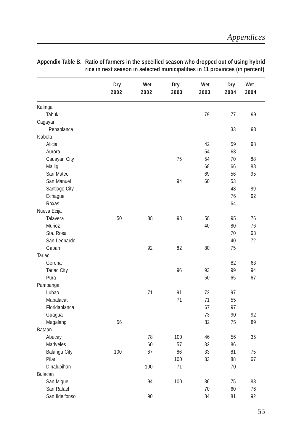| Kalinga<br>79<br>77<br>99<br>Tabuk<br>Cagayan<br>Penablanca<br>33<br>93<br>Isabela<br>Alicia<br>42<br>59<br>98<br>54<br>Aurora<br>68<br>75<br>54<br>Cauayan City<br>70<br>88<br>Mallig<br>68<br>66<br>88<br>San Mateo<br>69<br>95<br>56<br>San Manuel<br>94<br>60<br>53<br>Santiago City<br>48<br>89<br>76<br>92<br>Echague<br>Roxas<br>64<br>Nueva Ecija<br>50<br>98<br>95<br>76<br>Talavera<br>88<br>58 |       | Dry<br>2002 | Wet<br>2002 | Dry<br>2003 | Wet<br>2003 | Dry<br>2004 | Wet<br>2004 |
|-----------------------------------------------------------------------------------------------------------------------------------------------------------------------------------------------------------------------------------------------------------------------------------------------------------------------------------------------------------------------------------------------------------|-------|-------------|-------------|-------------|-------------|-------------|-------------|
|                                                                                                                                                                                                                                                                                                                                                                                                           |       |             |             |             |             |             |             |
|                                                                                                                                                                                                                                                                                                                                                                                                           |       |             |             |             |             |             |             |
|                                                                                                                                                                                                                                                                                                                                                                                                           |       |             |             |             |             |             |             |
|                                                                                                                                                                                                                                                                                                                                                                                                           |       |             |             |             |             |             |             |
|                                                                                                                                                                                                                                                                                                                                                                                                           |       |             |             |             |             |             |             |
|                                                                                                                                                                                                                                                                                                                                                                                                           |       |             |             |             |             |             |             |
|                                                                                                                                                                                                                                                                                                                                                                                                           |       |             |             |             |             |             |             |
|                                                                                                                                                                                                                                                                                                                                                                                                           |       |             |             |             |             |             |             |
|                                                                                                                                                                                                                                                                                                                                                                                                           |       |             |             |             |             |             |             |
|                                                                                                                                                                                                                                                                                                                                                                                                           |       |             |             |             |             |             |             |
|                                                                                                                                                                                                                                                                                                                                                                                                           |       |             |             |             |             |             |             |
|                                                                                                                                                                                                                                                                                                                                                                                                           |       |             |             |             |             |             |             |
|                                                                                                                                                                                                                                                                                                                                                                                                           |       |             |             |             |             |             |             |
|                                                                                                                                                                                                                                                                                                                                                                                                           |       |             |             |             |             |             |             |
|                                                                                                                                                                                                                                                                                                                                                                                                           |       |             |             |             |             |             |             |
|                                                                                                                                                                                                                                                                                                                                                                                                           |       |             |             |             |             |             |             |
|                                                                                                                                                                                                                                                                                                                                                                                                           | Muñoz |             |             |             | 40          | 80          | 76          |
| Sta. Rosa<br>70<br>63                                                                                                                                                                                                                                                                                                                                                                                     |       |             |             |             |             |             |             |
| 72<br>40<br>San Leonardo                                                                                                                                                                                                                                                                                                                                                                                  |       |             |             |             |             |             |             |
| 92<br>Gapan<br>82<br>80<br>75                                                                                                                                                                                                                                                                                                                                                                             |       |             |             |             |             |             |             |
| Tarlac                                                                                                                                                                                                                                                                                                                                                                                                    |       |             |             |             |             |             |             |
| 82<br>63<br>Gerona                                                                                                                                                                                                                                                                                                                                                                                        |       |             |             |             |             |             |             |
| 96<br>93<br>99<br>94<br><b>Tarlac City</b>                                                                                                                                                                                                                                                                                                                                                                |       |             |             |             |             |             |             |
| Pura<br>50<br>65<br>67                                                                                                                                                                                                                                                                                                                                                                                    |       |             |             |             |             |             |             |
| Pampanga                                                                                                                                                                                                                                                                                                                                                                                                  |       |             |             |             |             |             |             |
| 71<br>Lubao<br>91<br>72<br>97                                                                                                                                                                                                                                                                                                                                                                             |       |             |             |             |             |             |             |
| 71<br>71<br>55<br>Mabalacat                                                                                                                                                                                                                                                                                                                                                                               |       |             |             |             |             |             |             |
| 67<br>Floridablanca<br>97                                                                                                                                                                                                                                                                                                                                                                                 |       |             |             |             |             |             |             |
| 73<br>90<br>92<br>Guagua                                                                                                                                                                                                                                                                                                                                                                                  |       |             |             |             |             |             |             |
| 56<br>82<br>75<br>89<br>Magalang                                                                                                                                                                                                                                                                                                                                                                          |       |             |             |             |             |             |             |
| Bataan                                                                                                                                                                                                                                                                                                                                                                                                    |       |             |             |             |             |             |             |
| 35<br>78<br>100<br>46<br>56<br>Abucay                                                                                                                                                                                                                                                                                                                                                                     |       |             |             |             |             |             |             |
| 60<br>32<br><b>Mariveles</b><br>57<br>86                                                                                                                                                                                                                                                                                                                                                                  |       |             |             |             |             |             |             |
| 100<br>33<br>67<br>86<br>81<br>75<br>Balanga City                                                                                                                                                                                                                                                                                                                                                         |       |             |             |             |             |             |             |
| Pilar<br>100<br>33<br>88<br>67                                                                                                                                                                                                                                                                                                                                                                            |       |             |             |             |             |             |             |
| Dinalupihan<br>100<br>71<br>70                                                                                                                                                                                                                                                                                                                                                                            |       |             |             |             |             |             |             |
| Bulacan                                                                                                                                                                                                                                                                                                                                                                                                   |       |             |             |             |             |             |             |
| San Miguel<br>94<br>100<br>86<br>75<br>88                                                                                                                                                                                                                                                                                                                                                                 |       |             |             |             |             |             |             |
| San Rafael<br>70<br>60<br>76                                                                                                                                                                                                                                                                                                                                                                              |       |             |             |             |             |             |             |
| 90<br>92<br>84<br>81<br>San Ildelfonso                                                                                                                                                                                                                                                                                                                                                                    |       |             |             |             |             |             |             |

**Appendix Table B. Ratio of farmers in the specified season who dropped out of using hybrid rice in next season in selected municipalities in 11 provinces (in percent)**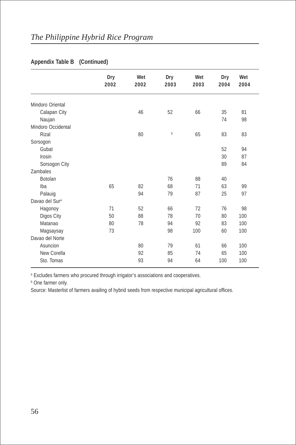|                    | Dry<br>2002 | Wet<br>2002 | Dry<br>2003 | Wet<br>2003 | Dry<br>2004 | Wet<br>2004 |  |
|--------------------|-------------|-------------|-------------|-------------|-------------|-------------|--|
|                    |             |             |             |             |             |             |  |
| Mindoro Oriental   |             |             |             |             |             |             |  |
| Calapan City       |             | 46          | 52          | 66          | 35          | 81          |  |
| Naujan             |             |             |             |             | 74          | 98          |  |
| Mindoro Occidental |             |             |             |             |             |             |  |
| Rizal              |             | 80          | b           | 65          | 83          | 83          |  |
| Sorsogon           |             |             |             |             |             |             |  |
| Gubat              |             |             |             |             | 52          | 94          |  |
| Irosin             |             |             |             |             | 30          | 87          |  |
| Sorsogon City      |             |             |             |             | 89          | 84          |  |
| Zambales           |             |             |             |             |             |             |  |
| Botolan            |             |             | 76          | 88          | 40          |             |  |
| Iba                | 65          | 82          | 68          | 71          | 63          | 99          |  |
| Palauig            |             | 94          | 79          | 87          | 25          | 97          |  |
| Davao del Sura     |             |             |             |             |             |             |  |
| Hagonoy            | 71          | 52          | 66          | 72          | 76          | 98          |  |
| Digos City         | 50          | 88          | 78          | 70          | 80          | 100         |  |
| Matanao            | 80          | 78          | 94          | 92          | 83          | 100         |  |
| Magsaysay          | 73          |             | 98          | 100         | 60          | 100         |  |
| Davao del Norte    |             |             |             |             |             |             |  |
| Asuncion           |             | 80          | 79          | 61          | 66          | 100         |  |
| New Corella        |             | 92          | 85          | 74          | 65          | 100         |  |
| Sto. Tomas         |             | 93          | 94          | 64          | 100         | 100         |  |
|                    |             |             |             |             |             |             |  |

#### **Appendix Table B (Continued)**

<sup>a</sup> Excludes farmers who procured through irrigator's associations and cooperatives.

**b** One farmer only.

Source: Masterlist of farmers availing of hybrid seeds from respective municipal agricultural offices.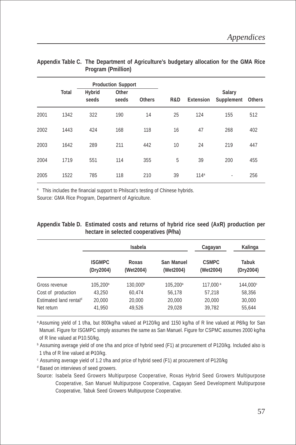|      |              |                 | <b>Production Support</b> |               |     |                  |                             |        |
|------|--------------|-----------------|---------------------------|---------------|-----|------------------|-----------------------------|--------|
|      | <b>Total</b> | Hybrid<br>seeds | Other<br>seeds            | <b>Others</b> | R&D | Extension        | <b>Salary</b><br>Supplement | Others |
| 2001 | 1342         | 322             | 190                       | 14            | 25  | 124              | 155                         | 512    |
| 2002 | 1443         | 424             | 168                       | 118           | 16  | 47               | 268                         | 402    |
| 2003 | 1642         | 289             | 211                       | 442           | 10  | 24               | 219                         | 447    |
| 2004 | 1719         | 551             | 114                       | 355           | 5   | 39               | 200                         | 455    |
| 2005 | 1522         | 785             | 118                       | 210           | 39  | 114 <sup>a</sup> | ٠                           | 256    |

#### **Appendix Table C. The Department of Agriculture's budgetary allocation for the GMA Rice Program (Pmillion)**

<sup>a</sup> This includes the financial support to Philscat's testing of Chinese hybrids.

Source: GMA Rice Program, Department of Agriculture.

| Appendix Table D. Estimated costs and returns of hybrid rice seed (AxR) production per |  |  |
|----------------------------------------------------------------------------------------|--|--|
| hectare in selected cooperatives (P/ha)                                                |  |  |

|                                    |                            | Isabela              |                         | Cagayan                   | Kalinga            |
|------------------------------------|----------------------------|----------------------|-------------------------|---------------------------|--------------------|
|                                    | <b>ISGMPC</b><br>(Dry2004) | Roxas<br>(Wet2004)   | San Manuel<br>(Wet2004) | <b>CSMPC</b><br>(Wet2004) | Tabuk<br>(Dry2004) |
| Gross revenue                      | $105,200^{\circ}$          | 130,000 <sup>b</sup> | 105,200 <sup>a</sup>    | 117.000 <sup>a</sup>      | 144.000°           |
| Cost of production                 | 43.250                     | 60,474               | 56,178                  | 57,218                    | 58,356             |
| Estimated land rental <sup>d</sup> | 20,000                     | 20,000               | 20,000                  | 20,000                    | 30,000             |
| Net return                         | 41.950                     | 49,526               | 29,028                  | 39,782                    | 55,644             |

a Assuming yield of 1 t/ha, but 800kg/ha valued at P120/kg and 1150 kg/ha of R line valued at P8/kg for San Manuel. Figure for ISGMPC simply assumes the same as San Manuel. Figure for CSPMC assumes 2000 kg/ha of R line valued at P10.50/kg.

**b** Assuming average yield of one t/ha and price of hybrid seed (F1) at procurement of P120/kg. Included also is 1 t/ha of R line valued at P10/kg.

c Assuming average yield of 1.2 t/ha and price of hybrid seed (F1) at procurement of P120/kg

d Based on interviews of seed growers.

Source: Isabela Seed Growers Multipurpose Cooperative, Roxas Hybrid Seed Growers Multipurpose Cooperative, San Manuel Multipurpose Cooperative, Cagayan Seed Development Multipurpose Cooperative, Tabuk Seed Growers Multipurpose Cooperative.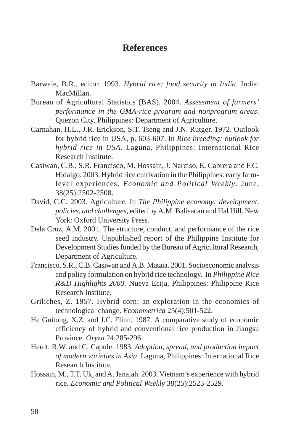# **References**

- Barwale, B.R., editor. 1993. *Hybrid rice: food security in India*. India: MacMillan.
- Bureau of Agricultural Statistics (BAS). 2004. *Assessment of farmers' performance in the GMA-rice program and nonprogram areas*. Quezon City, Philippines: Department of Agriculture.
- Carnahan, H.L., J.R. Erickson, S.T. Tseng and J.N. Rutger. 1972. Outlook for hybrid rice in USA, p. 603-607. In *Rice breeding: outlook for hybrid rice in USA*. Laguna, Philippines: International Rice Research Institute.
- Casiwan, C.B., S.R. Francisco, M. Hossain, J. Narciso, E. Cabrera and F.C. Hidalgo. 2003. Hybrid rice cultivation in the Philippines: early farmlevel experiences. *Economic and Political Weekly*. June, 38(25):2502-2508.
- David, C.C. 2003. Agriculture. In *The Philippine economy: development, policies, and challenges*, edited by A.M. Balisacan and Hal Hill*.* New York: Oxford University Press.
- Dela Cruz, A.M. 2001. The structure, conduct, and performance of the rice seed industry. Unpublished report of the Philippine Institute for Development Studies funded by the Bureau of Agricultural Research, Department of Agriculture.
- Francisco, S.R., C.B. Casiwan and A.B. Mataia. 2001. Socioeconomic analysis and policy formulation on hybrid rice technology. In *Philippine Rice R&D Highlights 2000*. Nueva Ecija, Philippines: Philippine Rice Research Institute.
- Griliches, Z. 1957. Hybrid corn: an exploration in the economics of technological change. *Econometrica* 25(4):501-522.
- He Guitong, X.Z. and J.C. Flinn. 1987. A comparative study of economic efficiency of hybrid and conventional rice production in Jiangsu Province. *Oryza* 24:285-296.
- Herdt, R.W. and C. Capule. 1983. *Adoption, spread, and production impact of modern varieties in Asia*. Laguna, Philippines: International Rice Research Institute.
- Hossain, M., T.T. Uk, and A. Janaiah. 2003. Vietnam's experience with hybrid rice. *Economic and Political Weekly* 38(25):2523-2529.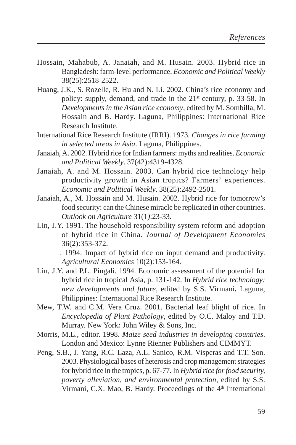- Hossain, Mahabub, A. Janaiah, and M. Husain. 2003. Hybrid rice in Bangladesh: farm-level performance. *Economic and Political Weekly* 38(25):2518-2522.
- Huang, J.K., S. Rozelle, R. Hu and N. Li. 2002. China's rice economy and policy: supply, demand, and trade in the 21st century, p. 33-58. In *Developments in the Asian rice economy*, edited by M. Sombilla, M. Hossain and B. Hardy. Laguna, Philippines: International Rice Research Institute.
- International Rice Research Institute (IRRI). 1973. *Changes in rice farming in selected areas in Asia*. Laguna, Philippines.
- Janaiah, A. 2002. Hybrid rice for Indian farmers: myths and realities. *Economic and Political Weekly*. 37(42):4319-4328.
- Janaiah, A. and M. Hossain. 2003. Can hybrid rice technology help productivity growth in Asian tropics? Farmers' experiences. *Economic and Political Weekly*. 38(25):2492-2501.
- Janaiah, A., M. Hossain and M. Husain. 2002. Hybrid rice for tomorrow's food security: can the Chinese miracle be replicated in other countries. *Outlook on Agriculture* 31(1*)*:23-33.
- Lin, J.Y. 1991. The household responsibility system reform and adoption of hybrid rice in China. *Journal of Development Economics* 36(2):353-372.
	- \_\_\_\_\_\_. 1994. Impact of hybrid rice on input demand and productivity. *Agricultural Economics* 10(2):153-164.
- Lin, J.Y. and P.L. Pingali. 1994. Economic assessment of the potential for hybrid rice in tropical Asia, p. 131-142. In *Hybrid rice technology: new developments and future*, edited by S.S. Virmani*.* Laguna, Philippines: International Rice Research Institute.
- Mew, T.W. and C.M. Vera Cruz. 2001. Bacterial leaf blight of rice. In *Encyclopedia of Plant Pathology*, edited by O.C. Maloy and T.D. Murray. New York*:* John Wiley & Sons, Inc.
- Morris, M.L., editor. 1998. *Maize seed industries in developing countries*. London and Mexico: Lynne Rienner Publishers and CIMMYT.
- Peng, S.B., J. Yang, R.C. Laza, A.L. Sanico, R.M. Visperas and T.T. Son. 2003. Physiological bases of heterosis and crop management strategies for hybrid rice in the tropics, p. 67-77. In *Hybrid rice for food security, poverty alleviation, and environmental protection*, edited by S.S. Virmani, C.X. Mao, B. Hardy. Proceedings of the 4<sup>th</sup> International